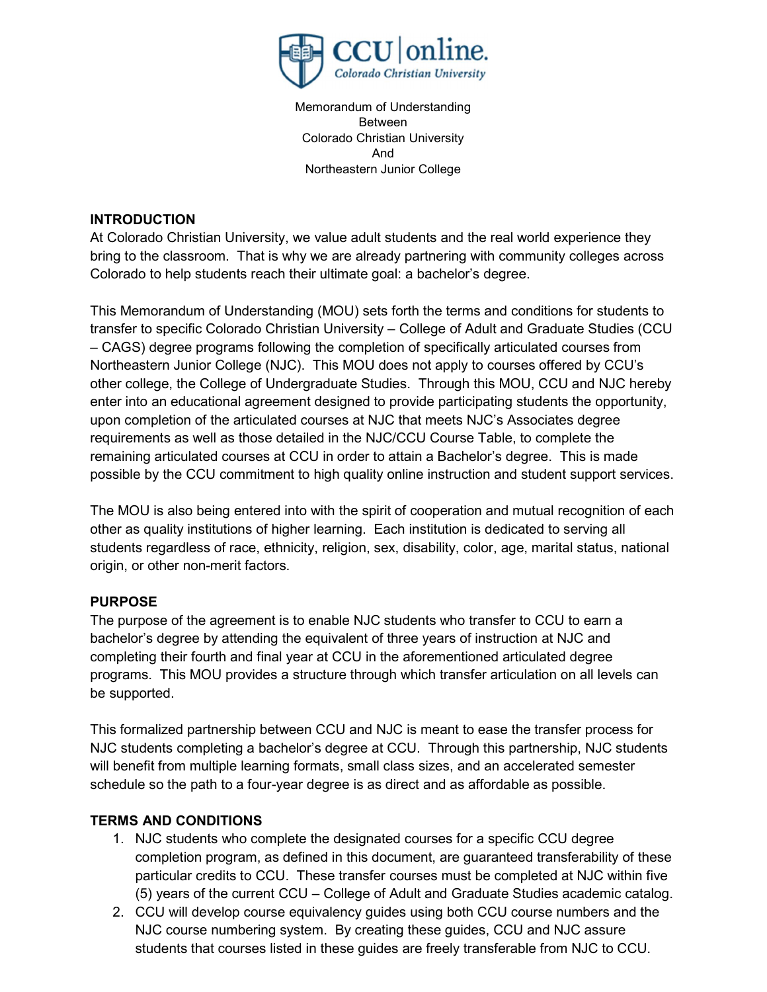

Memorandum of Understanding Between Colorado Christian University And Northeastern Junior College

#### **INTRODUCTION**

At Colorado Christian University, we value adult students and the real world experience they bring to the classroom. That is why we are already partnering with community colleges across Colorado to help students reach their ultimate goal: a bachelor's degree.

This Memorandum of Understanding (MOU) sets forth the terms and conditions for students to transfer to specific Colorado Christian University – College of Adult and Graduate Studies (CCU – CAGS) degree programs following the completion of specifically articulated courses from Northeastern Junior College (NJC). This MOU does not apply to courses offered by CCU's other college, the College of Undergraduate Studies. Through this MOU, CCU and NJC hereby enter into an educational agreement designed to provide participating students the opportunity, upon completion of the articulated courses at NJC that meets NJC's Associates degree requirements as well as those detailed in the NJC/CCU Course Table, to complete the remaining articulated courses at CCU in order to attain a Bachelor's degree. This is made possible by the CCU commitment to high quality online instruction and student support services.

The MOU is also being entered into with the spirit of cooperation and mutual recognition of each other as quality institutions of higher learning. Each institution is dedicated to serving all students regardless of race, ethnicity, religion, sex, disability, color, age, marital status, national origin, or other non-merit factors.

## PURPOSE

The purpose of the agreement is to enable NJC students who transfer to CCU to earn a bachelor's degree by attending the equivalent of three years of instruction at NJC and completing their fourth and final year at CCU in the aforementioned articulated degree programs. This MOU provides a structure through which transfer articulation on all levels can be supported.

This formalized partnership between CCU and NJC is meant to ease the transfer process for NJC students completing a bachelor's degree at CCU. Through this partnership, NJC students will benefit from multiple learning formats, small class sizes, and an accelerated semester schedule so the path to a four-year degree is as direct and as affordable as possible.

## TERMS AND CONDITIONS

- 1. NJC students who complete the designated courses for a specific CCU degree completion program, as defined in this document, are guaranteed transferability of these particular credits to CCU. These transfer courses must be completed at NJC within five (5) years of the current CCU – College of Adult and Graduate Studies academic catalog.
- 2. CCU will develop course equivalency guides using both CCU course numbers and the NJC course numbering system. By creating these guides, CCU and NJC assure students that courses listed in these guides are freely transferable from NJC to CCU.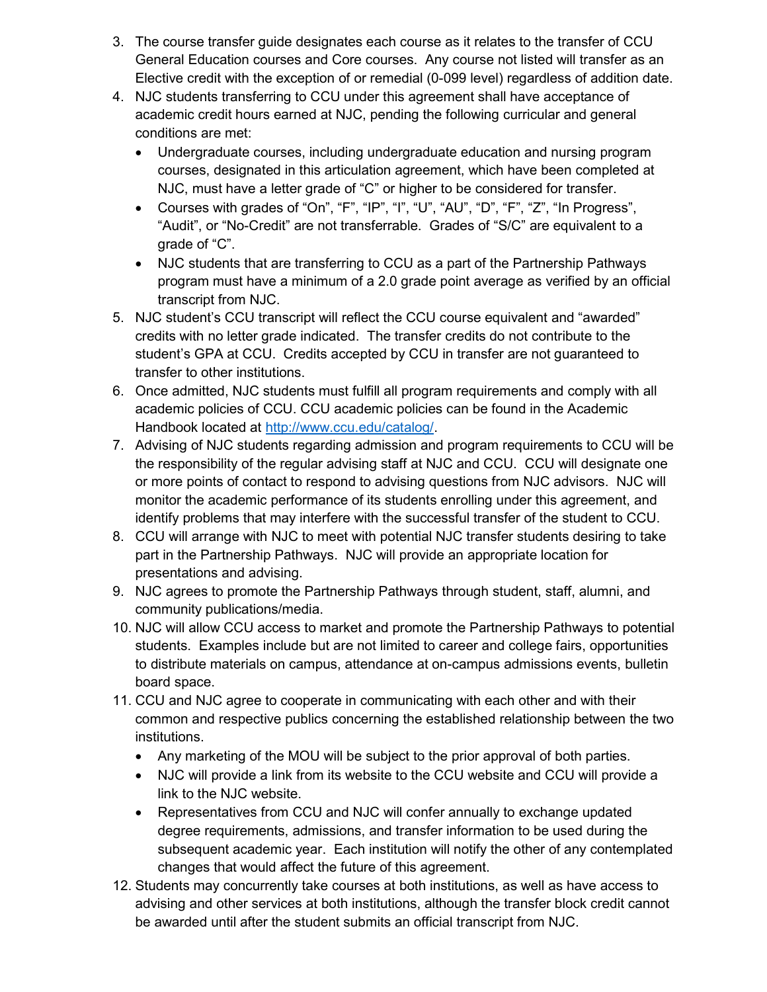- 3. The course transfer guide designates each course as it relates to the transfer of CCU General Education courses and Core courses. Any course not listed will transfer as an Elective credit with the exception of or remedial (0-099 level) regardless of addition date.
- 4. NJC students transferring to CCU under this agreement shall have acceptance of academic credit hours earned at NJC, pending the following curricular and general conditions are met:
	- Undergraduate courses, including undergraduate education and nursing program courses, designated in this articulation agreement, which have been completed at NJC, must have a letter grade of "C" or higher to be considered for transfer.
	- Courses with grades of "On", "F", "IP", "I", "U", "AU", "D", "F", "Z", "In Progress", "Audit", or "No-Credit" are not transferrable. Grades of "S/C" are equivalent to a grade of "C".
	- NJC students that are transferring to CCU as a part of the Partnership Pathways program must have a minimum of a 2.0 grade point average as verified by an official transcript from NJC.
- 5. NJC student's CCU transcript will reflect the CCU course equivalent and "awarded" credits with no letter grade indicated. The transfer credits do not contribute to the student's GPA at CCU. Credits accepted by CCU in transfer are not guaranteed to transfer to other institutions.
- 6. Once admitted, NJC students must fulfill all program requirements and comply with all academic policies of CCU. CCU academic policies can be found in the Academic Handbook located at http://www.ccu.edu/catalog/.
- 7. Advising of NJC students regarding admission and program requirements to CCU will be the responsibility of the regular advising staff at NJC and CCU. CCU will designate one or more points of contact to respond to advising questions from NJC advisors. NJC will monitor the academic performance of its students enrolling under this agreement, and identify problems that may interfere with the successful transfer of the student to CCU.
- 8. CCU will arrange with NJC to meet with potential NJC transfer students desiring to take part in the Partnership Pathways. NJC will provide an appropriate location for presentations and advising.
- 9. NJC agrees to promote the Partnership Pathways through student, staff, alumni, and community publications/media.
- 10. NJC will allow CCU access to market and promote the Partnership Pathways to potential students. Examples include but are not limited to career and college fairs, opportunities to distribute materials on campus, attendance at on-campus admissions events, bulletin board space.
- 11. CCU and NJC agree to cooperate in communicating with each other and with their common and respective publics concerning the established relationship between the two institutions.
	- Any marketing of the MOU will be subject to the prior approval of both parties.
	- NJC will provide a link from its website to the CCU website and CCU will provide a link to the NJC website.
	- Representatives from CCU and NJC will confer annually to exchange updated degree requirements, admissions, and transfer information to be used during the subsequent academic year. Each institution will notify the other of any contemplated changes that would affect the future of this agreement.
- 12. Students may concurrently take courses at both institutions, as well as have access to advising and other services at both institutions, although the transfer block credit cannot be awarded until after the student submits an official transcript from NJC.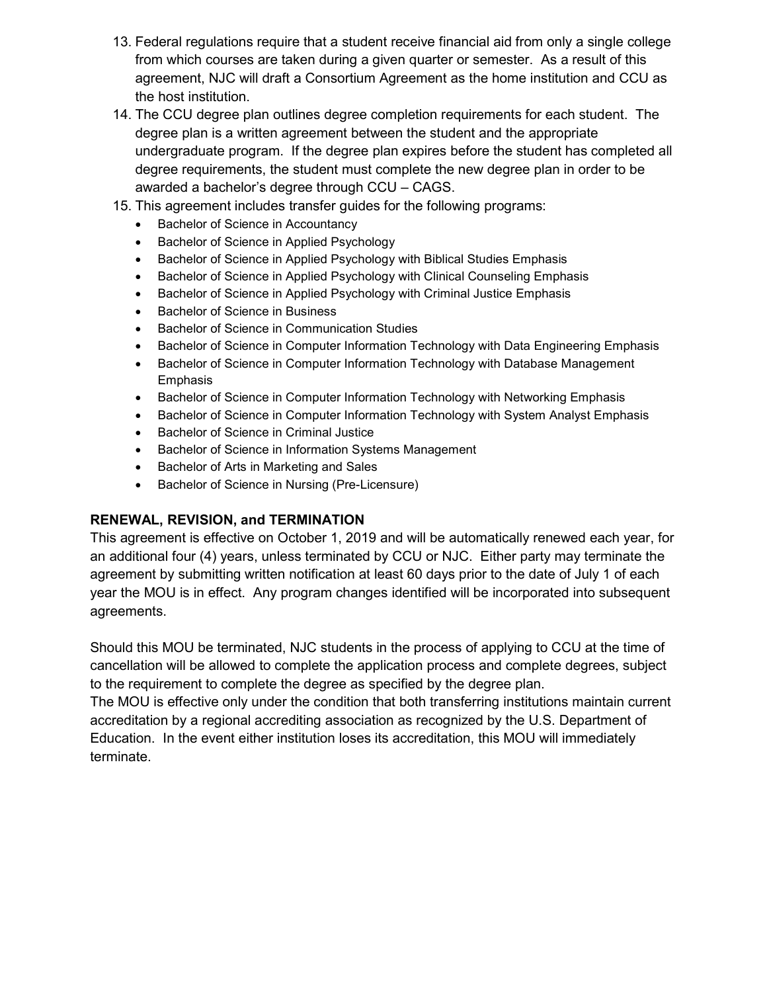- 13. Federal regulations require that a student receive financial aid from only a single college from which courses are taken during a given quarter or semester. As a result of this agreement, NJC will draft a Consortium Agreement as the home institution and CCU as the host institution.
- 14. The CCU degree plan outlines degree completion requirements for each student. The degree plan is a written agreement between the student and the appropriate undergraduate program. If the degree plan expires before the student has completed all degree requirements, the student must complete the new degree plan in order to be awarded a bachelor's degree through CCU – CAGS.
- 15. This agreement includes transfer guides for the following programs:
	- Bachelor of Science in Accountancy
	- Bachelor of Science in Applied Psychology
	- Bachelor of Science in Applied Psychology with Biblical Studies Emphasis
	- Bachelor of Science in Applied Psychology with Clinical Counseling Emphasis
	- Bachelor of Science in Applied Psychology with Criminal Justice Emphasis
	- Bachelor of Science in Business
	- **•** Bachelor of Science in Communication Studies
	- Bachelor of Science in Computer Information Technology with Data Engineering Emphasis
	- Bachelor of Science in Computer Information Technology with Database Management Emphasis
	- Bachelor of Science in Computer Information Technology with Networking Emphasis
	- Bachelor of Science in Computer Information Technology with System Analyst Emphasis
	- **•** Bachelor of Science in Criminal Justice
	- Bachelor of Science in Information Systems Management
	- Bachelor of Arts in Marketing and Sales
	- Bachelor of Science in Nursing (Pre-Licensure)

#### RENEWAL, REVISION, and TERMINATION

This agreement is effective on October 1, 2019 and will be automatically renewed each year, for an additional four (4) years, unless terminated by CCU or NJC. Either party may terminate the agreement by submitting written notification at least 60 days prior to the date of July 1 of each year the MOU is in effect. Any program changes identified will be incorporated into subsequent agreements.

Should this MOU be terminated, NJC students in the process of applying to CCU at the time of cancellation will be allowed to complete the application process and complete degrees, subject to the requirement to complete the degree as specified by the degree plan.

The MOU is effective only under the condition that both transferring institutions maintain current accreditation by a regional accrediting association as recognized by the U.S. Department of Education. In the event either institution loses its accreditation, this MOU will immediately terminate.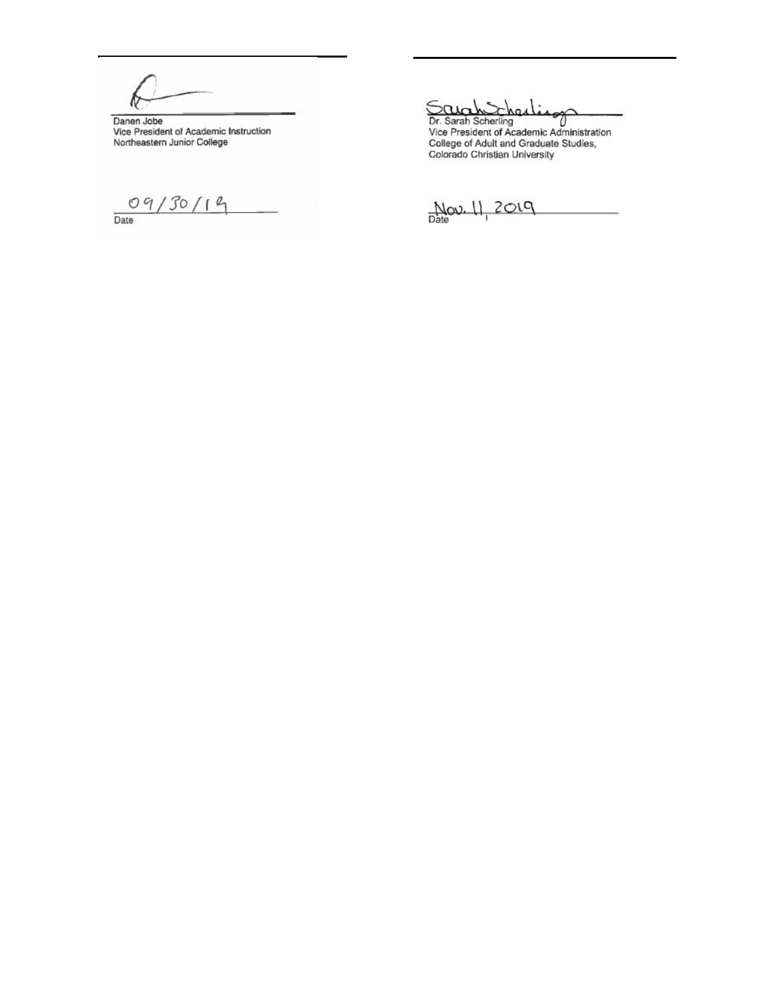$\mathbf{a}$ 

Danen Jobe<br>Vice President of Academic Instruction<br>Northeastern Junior College

 $09/30/19$ 

Scho  $\alpha$ 

Dr. Sarah Scherling<br>Vice President of Academic Administration<br>College of Adult and Graduate Studies,<br>Colorado Christian University

 $Mov. II. 2019$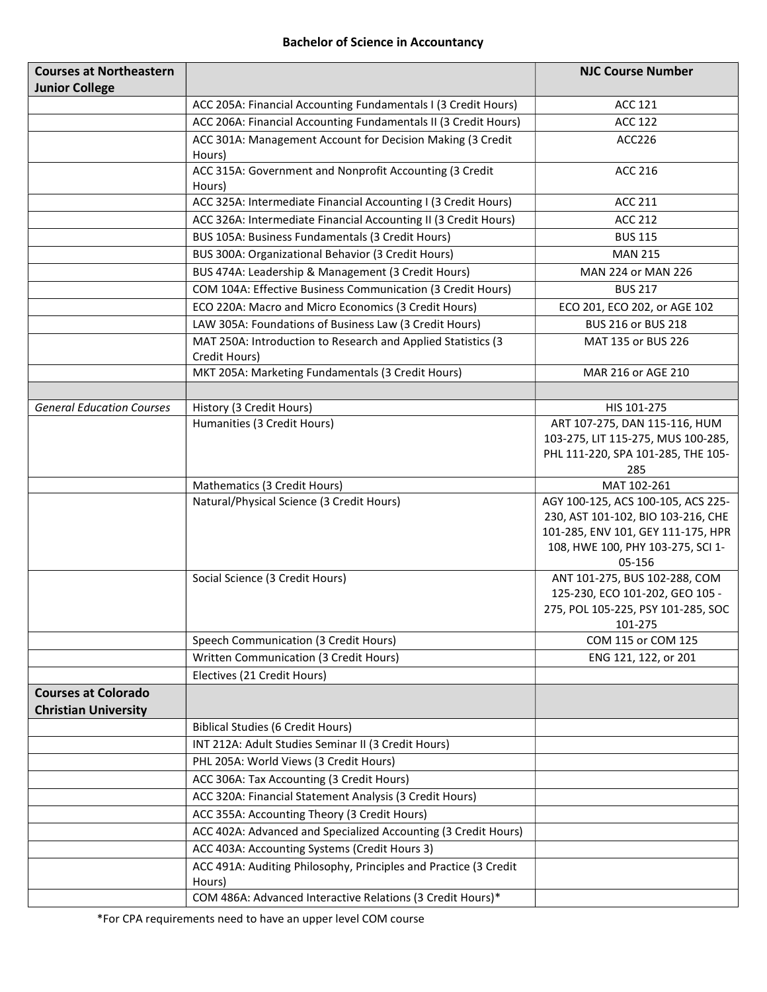#### Bachelor of Science in Accountancy

| <b>Courses at Northeastern</b>                            |                                                                               | <b>NJC Course Number</b>                                                                                                                                      |
|-----------------------------------------------------------|-------------------------------------------------------------------------------|---------------------------------------------------------------------------------------------------------------------------------------------------------------|
| <b>Junior College</b>                                     |                                                                               |                                                                                                                                                               |
|                                                           | ACC 205A: Financial Accounting Fundamentals I (3 Credit Hours)                | <b>ACC 121</b>                                                                                                                                                |
|                                                           | ACC 206A: Financial Accounting Fundamentals II (3 Credit Hours)               | <b>ACC 122</b>                                                                                                                                                |
|                                                           | ACC 301A: Management Account for Decision Making (3 Credit<br>Hours)          | ACC226                                                                                                                                                        |
|                                                           | ACC 315A: Government and Nonprofit Accounting (3 Credit<br>Hours)             | <b>ACC 216</b>                                                                                                                                                |
|                                                           | ACC 325A: Intermediate Financial Accounting I (3 Credit Hours)                | <b>ACC 211</b>                                                                                                                                                |
|                                                           | ACC 326A: Intermediate Financial Accounting II (3 Credit Hours)               | <b>ACC 212</b>                                                                                                                                                |
|                                                           | BUS 105A: Business Fundamentals (3 Credit Hours)                              | <b>BUS 115</b>                                                                                                                                                |
|                                                           | BUS 300A: Organizational Behavior (3 Credit Hours)                            | <b>MAN 215</b>                                                                                                                                                |
|                                                           | BUS 474A: Leadership & Management (3 Credit Hours)                            | MAN 224 or MAN 226                                                                                                                                            |
|                                                           | COM 104A: Effective Business Communication (3 Credit Hours)                   | <b>BUS 217</b>                                                                                                                                                |
|                                                           | ECO 220A: Macro and Micro Economics (3 Credit Hours)                          | ECO 201, ECO 202, or AGE 102                                                                                                                                  |
|                                                           | LAW 305A: Foundations of Business Law (3 Credit Hours)                        | <b>BUS 216 or BUS 218</b>                                                                                                                                     |
|                                                           | MAT 250A: Introduction to Research and Applied Statistics (3<br>Credit Hours) | MAT 135 or BUS 226                                                                                                                                            |
|                                                           | MKT 205A: Marketing Fundamentals (3 Credit Hours)                             | MAR 216 or AGE 210                                                                                                                                            |
|                                                           |                                                                               |                                                                                                                                                               |
| <b>General Education Courses</b>                          | History (3 Credit Hours)                                                      | HIS 101-275                                                                                                                                                   |
|                                                           | Humanities (3 Credit Hours)                                                   | ART 107-275, DAN 115-116, HUM<br>103-275, LIT 115-275, MUS 100-285,<br>PHL 111-220, SPA 101-285, THE 105-<br>285                                              |
|                                                           | Mathematics (3 Credit Hours)                                                  | MAT 102-261                                                                                                                                                   |
|                                                           | Natural/Physical Science (3 Credit Hours)                                     | AGY 100-125, ACS 100-105, ACS 225-<br>230, AST 101-102, BIO 103-216, CHE<br>101-285, ENV 101, GEY 111-175, HPR<br>108, HWE 100, PHY 103-275, SCI 1-<br>05-156 |
|                                                           | Social Science (3 Credit Hours)                                               | ANT 101-275, BUS 102-288, COM<br>125-230, ECO 101-202, GEO 105 -<br>275, POL 105-225, PSY 101-285, SOC<br>101-275                                             |
|                                                           | Speech Communication (3 Credit Hours)                                         | COM 115 or COM 125                                                                                                                                            |
|                                                           | Written Communication (3 Credit Hours)                                        | ENG 121, 122, or 201                                                                                                                                          |
|                                                           | Electives (21 Credit Hours)                                                   |                                                                                                                                                               |
| <b>Courses at Colorado</b><br><b>Christian University</b> |                                                                               |                                                                                                                                                               |
|                                                           | <b>Biblical Studies (6 Credit Hours)</b>                                      |                                                                                                                                                               |
|                                                           | INT 212A: Adult Studies Seminar II (3 Credit Hours)                           |                                                                                                                                                               |
|                                                           | PHL 205A: World Views (3 Credit Hours)                                        |                                                                                                                                                               |
|                                                           | ACC 306A: Tax Accounting (3 Credit Hours)                                     |                                                                                                                                                               |
|                                                           | ACC 320A: Financial Statement Analysis (3 Credit Hours)                       |                                                                                                                                                               |
|                                                           | ACC 355A: Accounting Theory (3 Credit Hours)                                  |                                                                                                                                                               |
|                                                           | ACC 402A: Advanced and Specialized Accounting (3 Credit Hours)                |                                                                                                                                                               |
|                                                           | ACC 403A: Accounting Systems (Credit Hours 3)                                 |                                                                                                                                                               |
|                                                           | ACC 491A: Auditing Philosophy, Principles and Practice (3 Credit<br>Hours)    |                                                                                                                                                               |
|                                                           | COM 486A: Advanced Interactive Relations (3 Credit Hours)*                    |                                                                                                                                                               |

\*For CPA requirements need to have an upper level COM course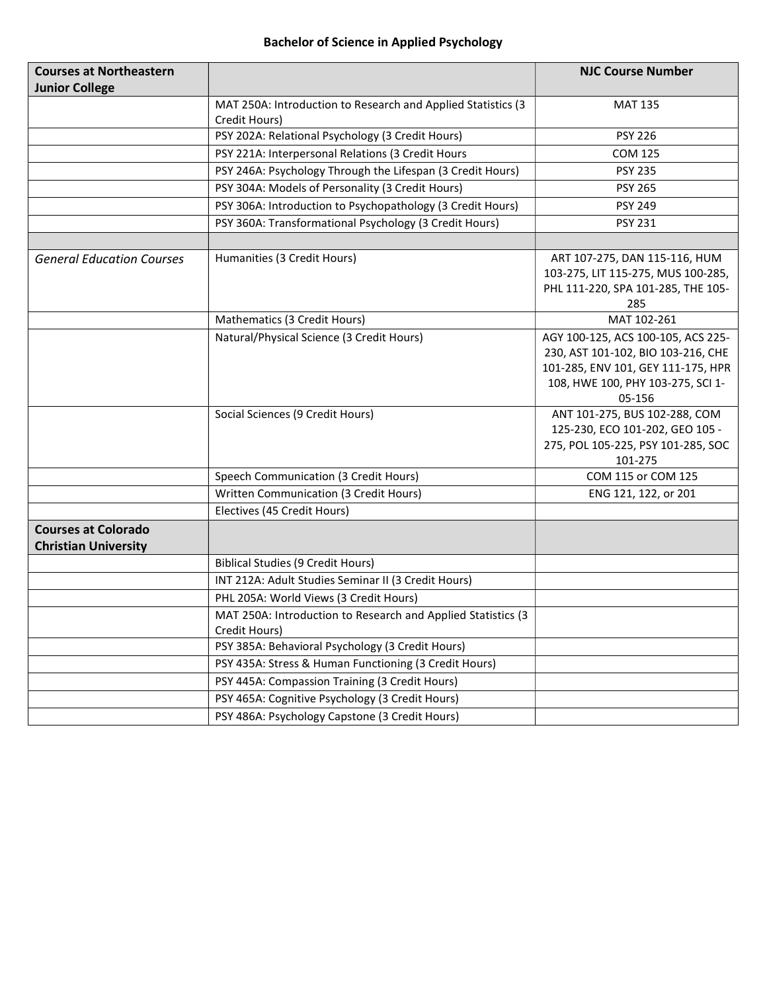# Bachelor of Science in Applied Psychology

| <b>Courses at Northeastern</b>   |                                                              | <b>NJC Course Number</b>                    |
|----------------------------------|--------------------------------------------------------------|---------------------------------------------|
| <b>Junior College</b>            |                                                              |                                             |
|                                  | MAT 250A: Introduction to Research and Applied Statistics (3 | <b>MAT 135</b>                              |
|                                  | Credit Hours)                                                |                                             |
|                                  | PSY 202A: Relational Psychology (3 Credit Hours)             | <b>PSY 226</b>                              |
|                                  | PSY 221A: Interpersonal Relations (3 Credit Hours            | <b>COM 125</b>                              |
|                                  | PSY 246A: Psychology Through the Lifespan (3 Credit Hours)   | <b>PSY 235</b>                              |
|                                  | PSY 304A: Models of Personality (3 Credit Hours)             | <b>PSY 265</b>                              |
|                                  | PSY 306A: Introduction to Psychopathology (3 Credit Hours)   | <b>PSY 249</b>                              |
|                                  | PSY 360A: Transformational Psychology (3 Credit Hours)       | <b>PSY 231</b>                              |
|                                  |                                                              |                                             |
| <b>General Education Courses</b> | Humanities (3 Credit Hours)                                  | ART 107-275, DAN 115-116, HUM               |
|                                  |                                                              | 103-275, LIT 115-275, MUS 100-285,          |
|                                  |                                                              | PHL 111-220, SPA 101-285, THE 105-          |
|                                  |                                                              | 285                                         |
|                                  | Mathematics (3 Credit Hours)                                 | MAT 102-261                                 |
|                                  | Natural/Physical Science (3 Credit Hours)                    | AGY 100-125, ACS 100-105, ACS 225-          |
|                                  |                                                              | 230, AST 101-102, BIO 103-216, CHE          |
|                                  |                                                              | 101-285, ENV 101, GEY 111-175, HPR          |
|                                  |                                                              | 108, HWE 100, PHY 103-275, SCI 1-<br>05-156 |
|                                  | Social Sciences (9 Credit Hours)                             | ANT 101-275, BUS 102-288, COM               |
|                                  |                                                              | 125-230, ECO 101-202, GEO 105 -             |
|                                  |                                                              | 275, POL 105-225, PSY 101-285, SOC          |
|                                  |                                                              | 101-275                                     |
|                                  | Speech Communication (3 Credit Hours)                        | COM 115 or COM 125                          |
|                                  | Written Communication (3 Credit Hours)                       | ENG 121, 122, or 201                        |
|                                  | Electives (45 Credit Hours)                                  |                                             |
| <b>Courses at Colorado</b>       |                                                              |                                             |
| <b>Christian University</b>      |                                                              |                                             |
|                                  | <b>Biblical Studies (9 Credit Hours)</b>                     |                                             |
|                                  | INT 212A: Adult Studies Seminar II (3 Credit Hours)          |                                             |
|                                  | PHL 205A: World Views (3 Credit Hours)                       |                                             |
|                                  | MAT 250A: Introduction to Research and Applied Statistics (3 |                                             |
|                                  | Credit Hours)                                                |                                             |
|                                  | PSY 385A: Behavioral Psychology (3 Credit Hours)             |                                             |
|                                  | PSY 435A: Stress & Human Functioning (3 Credit Hours)        |                                             |
|                                  | PSY 445A: Compassion Training (3 Credit Hours)               |                                             |
|                                  | PSY 465A: Cognitive Psychology (3 Credit Hours)              |                                             |
|                                  | PSY 486A: Psychology Capstone (3 Credit Hours)               |                                             |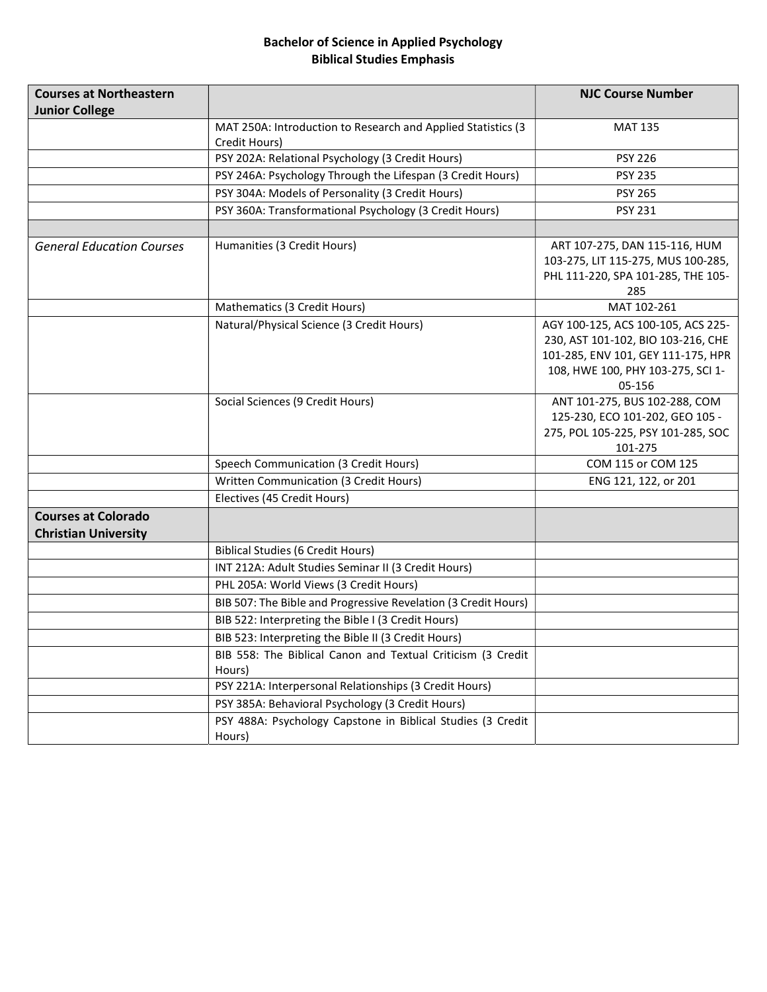## Bachelor of Science in Applied Psychology Biblical Studies Emphasis

| <b>Courses at Northeastern</b>   |                                                                               | <b>NJC Course Number</b>                                                                                                                                      |
|----------------------------------|-------------------------------------------------------------------------------|---------------------------------------------------------------------------------------------------------------------------------------------------------------|
| <b>Junior College</b>            |                                                                               |                                                                                                                                                               |
|                                  | MAT 250A: Introduction to Research and Applied Statistics (3<br>Credit Hours) | <b>MAT 135</b>                                                                                                                                                |
|                                  | PSY 202A: Relational Psychology (3 Credit Hours)                              | <b>PSY 226</b>                                                                                                                                                |
|                                  | PSY 246A: Psychology Through the Lifespan (3 Credit Hours)                    | <b>PSY 235</b>                                                                                                                                                |
|                                  | PSY 304A: Models of Personality (3 Credit Hours)                              | <b>PSY 265</b>                                                                                                                                                |
|                                  | PSY 360A: Transformational Psychology (3 Credit Hours)                        | <b>PSY 231</b>                                                                                                                                                |
|                                  |                                                                               |                                                                                                                                                               |
| <b>General Education Courses</b> | Humanities (3 Credit Hours)                                                   | ART 107-275, DAN 115-116, HUM<br>103-275, LIT 115-275, MUS 100-285,<br>PHL 111-220, SPA 101-285, THE 105-<br>285                                              |
|                                  | Mathematics (3 Credit Hours)                                                  | MAT 102-261                                                                                                                                                   |
|                                  | Natural/Physical Science (3 Credit Hours)                                     | AGY 100-125, ACS 100-105, ACS 225-<br>230, AST 101-102, BIO 103-216, CHE<br>101-285, ENV 101, GEY 111-175, HPR<br>108, HWE 100, PHY 103-275, SCI 1-<br>05-156 |
|                                  | Social Sciences (9 Credit Hours)                                              | ANT 101-275, BUS 102-288, COM<br>125-230, ECO 101-202, GEO 105 -<br>275, POL 105-225, PSY 101-285, SOC<br>101-275                                             |
|                                  | Speech Communication (3 Credit Hours)                                         | COM 115 or COM 125                                                                                                                                            |
|                                  | Written Communication (3 Credit Hours)                                        | ENG 121, 122, or 201                                                                                                                                          |
|                                  | Electives (45 Credit Hours)                                                   |                                                                                                                                                               |
| <b>Courses at Colorado</b>       |                                                                               |                                                                                                                                                               |
| <b>Christian University</b>      |                                                                               |                                                                                                                                                               |
|                                  | <b>Biblical Studies (6 Credit Hours)</b>                                      |                                                                                                                                                               |
|                                  | INT 212A: Adult Studies Seminar II (3 Credit Hours)                           |                                                                                                                                                               |
|                                  | PHL 205A: World Views (3 Credit Hours)                                        |                                                                                                                                                               |
|                                  | BIB 507: The Bible and Progressive Revelation (3 Credit Hours)                |                                                                                                                                                               |
|                                  | BIB 522: Interpreting the Bible I (3 Credit Hours)                            |                                                                                                                                                               |
|                                  | BIB 523: Interpreting the Bible II (3 Credit Hours)                           |                                                                                                                                                               |
|                                  | BIB 558: The Biblical Canon and Textual Criticism (3 Credit<br>Hours)         |                                                                                                                                                               |
|                                  | PSY 221A: Interpersonal Relationships (3 Credit Hours)                        |                                                                                                                                                               |
|                                  | PSY 385A: Behavioral Psychology (3 Credit Hours)                              |                                                                                                                                                               |
|                                  | PSY 488A: Psychology Capstone in Biblical Studies (3 Credit<br>Hours)         |                                                                                                                                                               |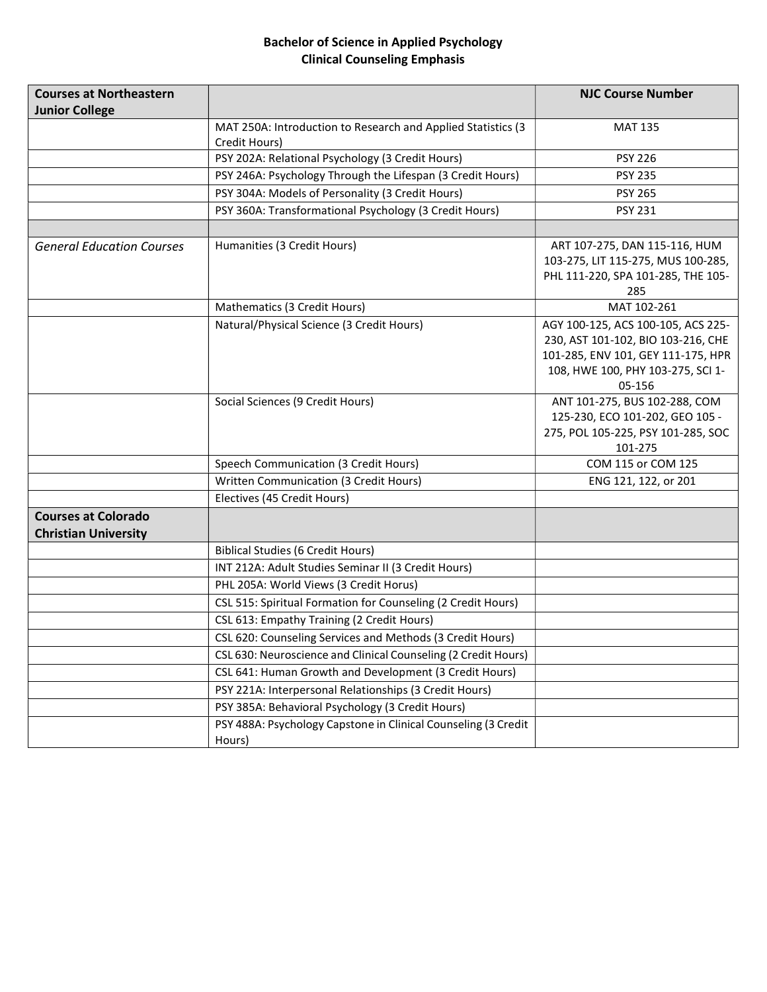## Bachelor of Science in Applied Psychology Clinical Counseling Emphasis

| <b>Courses at Northeastern</b><br><b>Junior College</b> |                                                                          | <b>NJC Course Number</b>                                                                                                                                      |
|---------------------------------------------------------|--------------------------------------------------------------------------|---------------------------------------------------------------------------------------------------------------------------------------------------------------|
|                                                         | MAT 250A: Introduction to Research and Applied Statistics (3             | <b>MAT 135</b>                                                                                                                                                |
|                                                         | Credit Hours)<br>PSY 202A: Relational Psychology (3 Credit Hours)        | <b>PSY 226</b>                                                                                                                                                |
|                                                         | PSY 246A: Psychology Through the Lifespan (3 Credit Hours)               | <b>PSY 235</b>                                                                                                                                                |
|                                                         | PSY 304A: Models of Personality (3 Credit Hours)                         | <b>PSY 265</b>                                                                                                                                                |
|                                                         | PSY 360A: Transformational Psychology (3 Credit Hours)                   | <b>PSY 231</b>                                                                                                                                                |
|                                                         |                                                                          |                                                                                                                                                               |
| <b>General Education Courses</b>                        | Humanities (3 Credit Hours)                                              | ART 107-275, DAN 115-116, HUM<br>103-275, LIT 115-275, MUS 100-285,<br>PHL 111-220, SPA 101-285, THE 105-<br>285                                              |
|                                                         | Mathematics (3 Credit Hours)                                             | MAT 102-261                                                                                                                                                   |
|                                                         | Natural/Physical Science (3 Credit Hours)                                | AGY 100-125, ACS 100-105, ACS 225-<br>230, AST 101-102, BIO 103-216, CHE<br>101-285, ENV 101, GEY 111-175, HPR<br>108, HWE 100, PHY 103-275, SCI 1-<br>05-156 |
|                                                         | Social Sciences (9 Credit Hours)                                         | ANT 101-275, BUS 102-288, COM<br>125-230, ECO 101-202, GEO 105 -<br>275, POL 105-225, PSY 101-285, SOC<br>101-275                                             |
|                                                         | Speech Communication (3 Credit Hours)                                    | COM 115 or COM 125                                                                                                                                            |
|                                                         | Written Communication (3 Credit Hours)                                   | ENG 121, 122, or 201                                                                                                                                          |
|                                                         | Electives (45 Credit Hours)                                              |                                                                                                                                                               |
| <b>Courses at Colorado</b>                              |                                                                          |                                                                                                                                                               |
| <b>Christian University</b>                             |                                                                          |                                                                                                                                                               |
|                                                         | <b>Biblical Studies (6 Credit Hours)</b>                                 |                                                                                                                                                               |
|                                                         | INT 212A: Adult Studies Seminar II (3 Credit Hours)                      |                                                                                                                                                               |
|                                                         | PHL 205A: World Views (3 Credit Horus)                                   |                                                                                                                                                               |
|                                                         | CSL 515: Spiritual Formation for Counseling (2 Credit Hours)             |                                                                                                                                                               |
|                                                         | CSL 613: Empathy Training (2 Credit Hours)                               |                                                                                                                                                               |
|                                                         | CSL 620: Counseling Services and Methods (3 Credit Hours)                |                                                                                                                                                               |
|                                                         | CSL 630: Neuroscience and Clinical Counseling (2 Credit Hours)           |                                                                                                                                                               |
|                                                         | CSL 641: Human Growth and Development (3 Credit Hours)                   |                                                                                                                                                               |
|                                                         | PSY 221A: Interpersonal Relationships (3 Credit Hours)                   |                                                                                                                                                               |
|                                                         | PSY 385A: Behavioral Psychology (3 Credit Hours)                         |                                                                                                                                                               |
|                                                         | PSY 488A: Psychology Capstone in Clinical Counseling (3 Credit<br>Hours) |                                                                                                                                                               |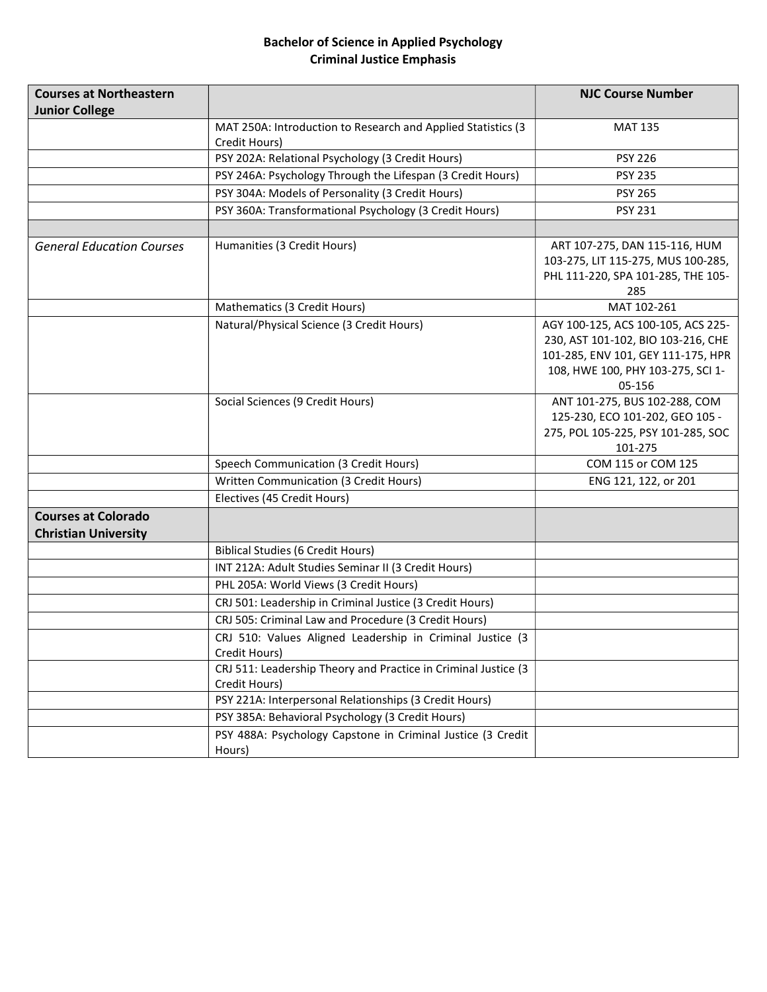## Bachelor of Science in Applied Psychology Criminal Justice Emphasis

| <b>Courses at Northeastern</b><br><b>Junior College</b>   |                                                                                 | <b>NJC Course Number</b>                                                                                                                                      |
|-----------------------------------------------------------|---------------------------------------------------------------------------------|---------------------------------------------------------------------------------------------------------------------------------------------------------------|
|                                                           | MAT 250A: Introduction to Research and Applied Statistics (3<br>Credit Hours)   | <b>MAT 135</b>                                                                                                                                                |
|                                                           | PSY 202A: Relational Psychology (3 Credit Hours)                                | <b>PSY 226</b>                                                                                                                                                |
|                                                           | PSY 246A: Psychology Through the Lifespan (3 Credit Hours)                      | <b>PSY 235</b>                                                                                                                                                |
|                                                           | PSY 304A: Models of Personality (3 Credit Hours)                                | <b>PSY 265</b>                                                                                                                                                |
|                                                           | PSY 360A: Transformational Psychology (3 Credit Hours)                          | <b>PSY 231</b>                                                                                                                                                |
|                                                           |                                                                                 |                                                                                                                                                               |
| <b>General Education Courses</b>                          | Humanities (3 Credit Hours)                                                     | ART 107-275, DAN 115-116, HUM<br>103-275, LIT 115-275, MUS 100-285,<br>PHL 111-220, SPA 101-285, THE 105-<br>285                                              |
|                                                           | Mathematics (3 Credit Hours)                                                    | MAT 102-261                                                                                                                                                   |
|                                                           | Natural/Physical Science (3 Credit Hours)                                       | AGY 100-125, ACS 100-105, ACS 225-<br>230, AST 101-102, BIO 103-216, CHE<br>101-285, ENV 101, GEY 111-175, HPR<br>108, HWE 100, PHY 103-275, SCI 1-<br>05-156 |
|                                                           | Social Sciences (9 Credit Hours)                                                | ANT 101-275, BUS 102-288, COM<br>125-230, ECO 101-202, GEO 105 -<br>275, POL 105-225, PSY 101-285, SOC<br>101-275                                             |
|                                                           | Speech Communication (3 Credit Hours)                                           | COM 115 or COM 125                                                                                                                                            |
|                                                           | Written Communication (3 Credit Hours)                                          | ENG 121, 122, or 201                                                                                                                                          |
|                                                           | Electives (45 Credit Hours)                                                     |                                                                                                                                                               |
| <b>Courses at Colorado</b><br><b>Christian University</b> |                                                                                 |                                                                                                                                                               |
|                                                           | <b>Biblical Studies (6 Credit Hours)</b>                                        |                                                                                                                                                               |
|                                                           | INT 212A: Adult Studies Seminar II (3 Credit Hours)                             |                                                                                                                                                               |
|                                                           | PHL 205A: World Views (3 Credit Hours)                                          |                                                                                                                                                               |
|                                                           | CRJ 501: Leadership in Criminal Justice (3 Credit Hours)                        |                                                                                                                                                               |
|                                                           | CRJ 505: Criminal Law and Procedure (3 Credit Hours)                            |                                                                                                                                                               |
|                                                           | CRJ 510: Values Aligned Leadership in Criminal Justice (3<br>Credit Hours)      |                                                                                                                                                               |
|                                                           | CRJ 511: Leadership Theory and Practice in Criminal Justice (3<br>Credit Hours) |                                                                                                                                                               |
|                                                           | PSY 221A: Interpersonal Relationships (3 Credit Hours)                          |                                                                                                                                                               |
|                                                           | PSY 385A: Behavioral Psychology (3 Credit Hours)                                |                                                                                                                                                               |
|                                                           | PSY 488A: Psychology Capstone in Criminal Justice (3 Credit<br>Hours)           |                                                                                                                                                               |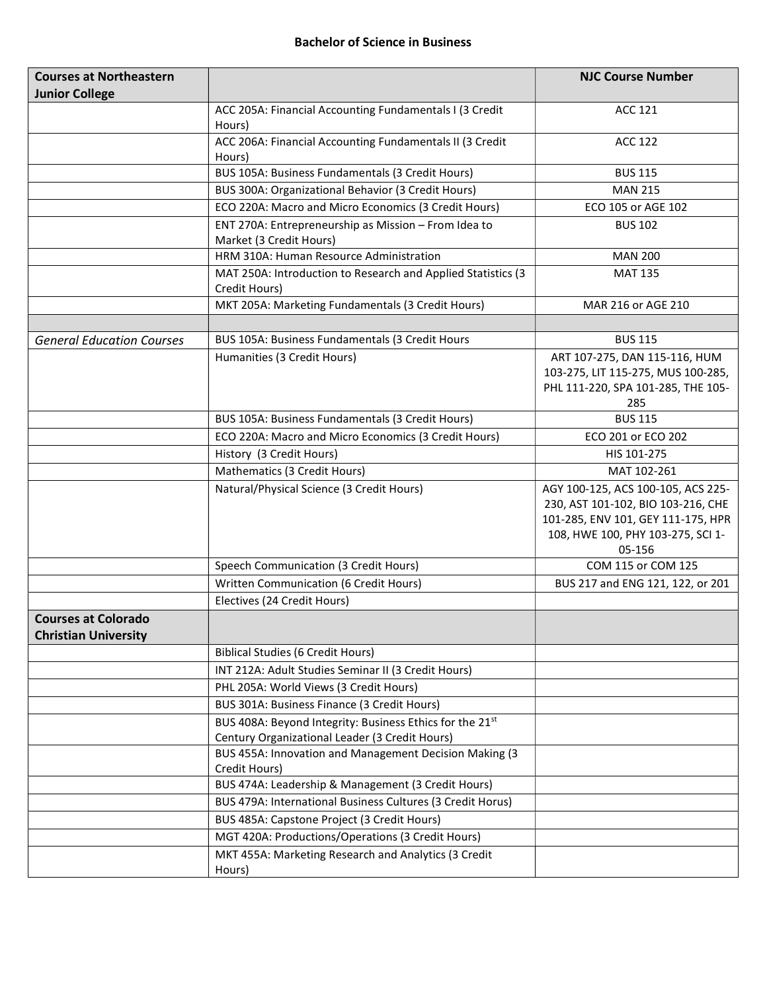| <b>Courses at Northeastern</b>                            |                                                                         | <b>NJC Course Number</b>           |
|-----------------------------------------------------------|-------------------------------------------------------------------------|------------------------------------|
| <b>Junior College</b>                                     |                                                                         |                                    |
|                                                           | ACC 205A: Financial Accounting Fundamentals I (3 Credit<br>Hours)       | <b>ACC 121</b>                     |
|                                                           | ACC 206A: Financial Accounting Fundamentals II (3 Credit                | <b>ACC 122</b>                     |
|                                                           | Hours)                                                                  |                                    |
|                                                           | BUS 105A: Business Fundamentals (3 Credit Hours)                        | <b>BUS 115</b>                     |
|                                                           | BUS 300A: Organizational Behavior (3 Credit Hours)                      | <b>MAN 215</b>                     |
|                                                           | ECO 220A: Macro and Micro Economics (3 Credit Hours)                    | ECO 105 or AGE 102                 |
|                                                           | ENT 270A: Entrepreneurship as Mission - From Idea to                    | <b>BUS 102</b>                     |
|                                                           | Market (3 Credit Hours)                                                 |                                    |
|                                                           | HRM 310A: Human Resource Administration                                 | <b>MAN 200</b>                     |
|                                                           | MAT 250A: Introduction to Research and Applied Statistics (3            | <b>MAT 135</b>                     |
|                                                           | Credit Hours)<br>MKT 205A: Marketing Fundamentals (3 Credit Hours)      | MAR 216 or AGE 210                 |
|                                                           |                                                                         |                                    |
| <b>General Education Courses</b>                          | BUS 105A: Business Fundamentals (3 Credit Hours                         | <b>BUS 115</b>                     |
|                                                           | Humanities (3 Credit Hours)                                             | ART 107-275, DAN 115-116, HUM      |
|                                                           |                                                                         | 103-275, LIT 115-275, MUS 100-285, |
|                                                           |                                                                         | PHL 111-220, SPA 101-285, THE 105- |
|                                                           |                                                                         | 285                                |
|                                                           | BUS 105A: Business Fundamentals (3 Credit Hours)                        | <b>BUS 115</b>                     |
|                                                           | ECO 220A: Macro and Micro Economics (3 Credit Hours)                    | ECO 201 or ECO 202                 |
|                                                           | History (3 Credit Hours)                                                | HIS 101-275                        |
|                                                           | Mathematics (3 Credit Hours)                                            | MAT 102-261                        |
|                                                           | Natural/Physical Science (3 Credit Hours)                               | AGY 100-125, ACS 100-105, ACS 225- |
|                                                           |                                                                         | 230, AST 101-102, BIO 103-216, CHE |
|                                                           |                                                                         | 101-285, ENV 101, GEY 111-175, HPR |
|                                                           |                                                                         | 108, HWE 100, PHY 103-275, SCI 1-  |
|                                                           |                                                                         | 05-156<br>COM 115 or COM 125       |
|                                                           | Speech Communication (3 Credit Hours)                                   | BUS 217 and ENG 121, 122, or 201   |
|                                                           | Written Communication (6 Credit Hours)<br>Electives (24 Credit Hours)   |                                    |
|                                                           |                                                                         |                                    |
| <b>Courses at Colorado</b><br><b>Christian University</b> |                                                                         |                                    |
|                                                           | <b>Biblical Studies (6 Credit Hours)</b>                                |                                    |
|                                                           | INT 212A: Adult Studies Seminar II (3 Credit Hours)                     |                                    |
|                                                           | PHL 205A: World Views (3 Credit Hours)                                  |                                    |
|                                                           | BUS 301A: Business Finance (3 Credit Hours)                             |                                    |
|                                                           | BUS 408A: Beyond Integrity: Business Ethics for the 21st                |                                    |
|                                                           | Century Organizational Leader (3 Credit Hours)                          |                                    |
|                                                           | BUS 455A: Innovation and Management Decision Making (3<br>Credit Hours) |                                    |
|                                                           | BUS 474A: Leadership & Management (3 Credit Hours)                      |                                    |
|                                                           | BUS 479A: International Business Cultures (3 Credit Horus)              |                                    |
|                                                           | BUS 485A: Capstone Project (3 Credit Hours)                             |                                    |
|                                                           | MGT 420A: Productions/Operations (3 Credit Hours)                       |                                    |
|                                                           | MKT 455A: Marketing Research and Analytics (3 Credit                    |                                    |
|                                                           | Hours)                                                                  |                                    |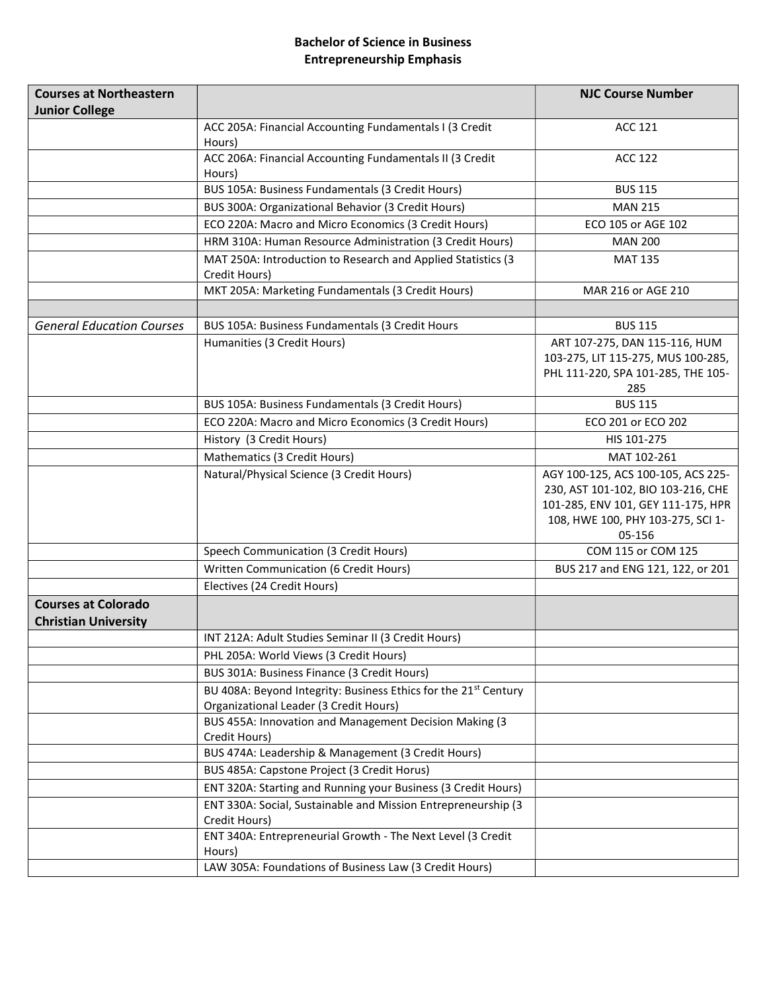## Bachelor of Science in Business Entrepreneurship Emphasis

| <b>Courses at Northeastern</b><br><b>Junior College</b>   |                                                                                                              | <b>NJC Course Number</b>                                                                                                                                      |
|-----------------------------------------------------------|--------------------------------------------------------------------------------------------------------------|---------------------------------------------------------------------------------------------------------------------------------------------------------------|
|                                                           | ACC 205A: Financial Accounting Fundamentals I (3 Credit<br>Hours)                                            | <b>ACC 121</b>                                                                                                                                                |
|                                                           | ACC 206A: Financial Accounting Fundamentals II (3 Credit<br>Hours)                                           | <b>ACC 122</b>                                                                                                                                                |
|                                                           | BUS 105A: Business Fundamentals (3 Credit Hours)                                                             | <b>BUS 115</b>                                                                                                                                                |
|                                                           | BUS 300A: Organizational Behavior (3 Credit Hours)                                                           | <b>MAN 215</b>                                                                                                                                                |
|                                                           | ECO 220A: Macro and Micro Economics (3 Credit Hours)                                                         | ECO 105 or AGE 102                                                                                                                                            |
|                                                           | HRM 310A: Human Resource Administration (3 Credit Hours)                                                     | <b>MAN 200</b>                                                                                                                                                |
|                                                           | MAT 250A: Introduction to Research and Applied Statistics (3<br>Credit Hours)                                | <b>MAT 135</b>                                                                                                                                                |
|                                                           | MKT 205A: Marketing Fundamentals (3 Credit Hours)                                                            | MAR 216 or AGE 210                                                                                                                                            |
|                                                           |                                                                                                              |                                                                                                                                                               |
| <b>General Education Courses</b>                          | BUS 105A: Business Fundamentals (3 Credit Hours                                                              | <b>BUS 115</b>                                                                                                                                                |
|                                                           | Humanities (3 Credit Hours)                                                                                  | ART 107-275, DAN 115-116, HUM<br>103-275, LIT 115-275, MUS 100-285,<br>PHL 111-220, SPA 101-285, THE 105-<br>285                                              |
|                                                           | BUS 105A: Business Fundamentals (3 Credit Hours)                                                             | <b>BUS 115</b>                                                                                                                                                |
|                                                           | ECO 220A: Macro and Micro Economics (3 Credit Hours)                                                         | ECO 201 or ECO 202                                                                                                                                            |
|                                                           | History (3 Credit Hours)                                                                                     | HIS 101-275                                                                                                                                                   |
|                                                           | Mathematics (3 Credit Hours)                                                                                 | MAT 102-261                                                                                                                                                   |
|                                                           | Natural/Physical Science (3 Credit Hours)                                                                    | AGY 100-125, ACS 100-105, ACS 225-<br>230, AST 101-102, BIO 103-216, CHE<br>101-285, ENV 101, GEY 111-175, HPR<br>108, HWE 100, PHY 103-275, SCI 1-<br>05-156 |
|                                                           | Speech Communication (3 Credit Hours)                                                                        | COM 115 or COM 125                                                                                                                                            |
|                                                           | Written Communication (6 Credit Hours)                                                                       | BUS 217 and ENG 121, 122, or 201                                                                                                                              |
|                                                           | Electives (24 Credit Hours)                                                                                  |                                                                                                                                                               |
| <b>Courses at Colorado</b><br><b>Christian University</b> |                                                                                                              |                                                                                                                                                               |
|                                                           | INT 212A: Adult Studies Seminar II (3 Credit Hours)                                                          |                                                                                                                                                               |
|                                                           | PHL 205A: World Views (3 Credit Hours)                                                                       |                                                                                                                                                               |
|                                                           | BUS 301A: Business Finance (3 Credit Hours)                                                                  |                                                                                                                                                               |
|                                                           | BU 408A: Beyond Integrity: Business Ethics for the 21st Century                                              |                                                                                                                                                               |
|                                                           | Organizational Leader (3 Credit Hours)                                                                       |                                                                                                                                                               |
|                                                           | BUS 455A: Innovation and Management Decision Making (3                                                       |                                                                                                                                                               |
|                                                           | Credit Hours)                                                                                                |                                                                                                                                                               |
|                                                           | BUS 474A: Leadership & Management (3 Credit Hours)                                                           |                                                                                                                                                               |
|                                                           | BUS 485A: Capstone Project (3 Credit Horus)<br>ENT 320A: Starting and Running your Business (3 Credit Hours) |                                                                                                                                                               |
|                                                           | ENT 330A: Social, Sustainable and Mission Entrepreneurship (3                                                |                                                                                                                                                               |
|                                                           | Credit Hours)                                                                                                |                                                                                                                                                               |
|                                                           | ENT 340A: Entrepreneurial Growth - The Next Level (3 Credit<br>Hours)                                        |                                                                                                                                                               |
|                                                           | LAW 305A: Foundations of Business Law (3 Credit Hours)                                                       |                                                                                                                                                               |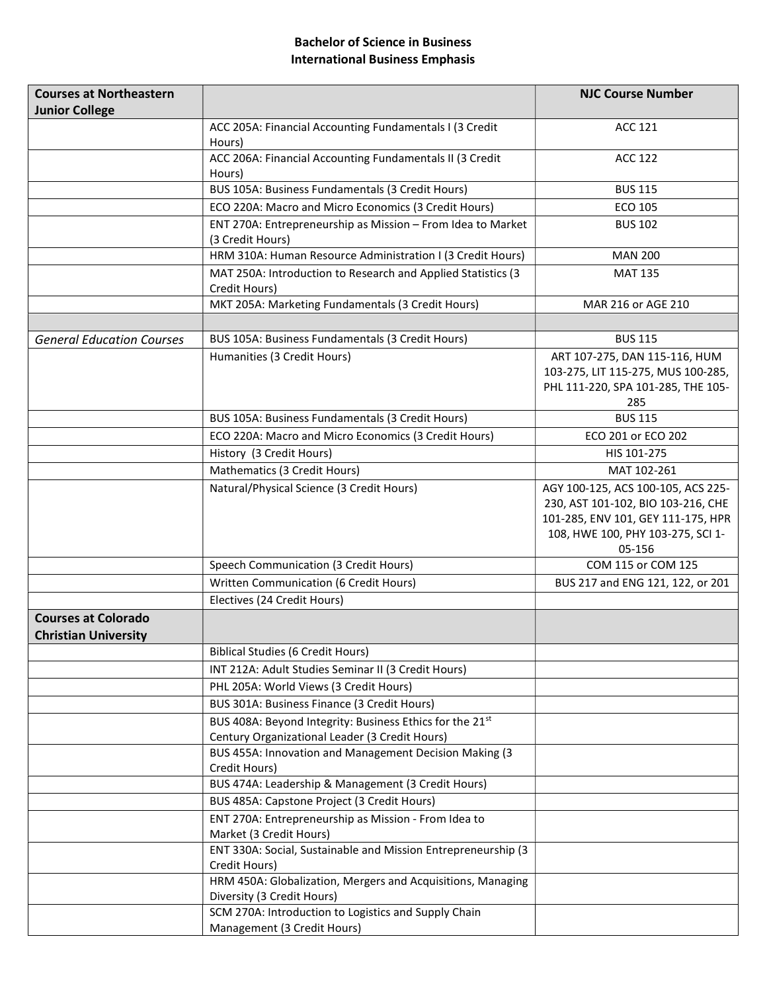#### Bachelor of Science in Business International Business Emphasis

| <b>Courses at Northeastern</b>                            |                                                                                           | <b>NJC Course Number</b>                                                                                                                                      |
|-----------------------------------------------------------|-------------------------------------------------------------------------------------------|---------------------------------------------------------------------------------------------------------------------------------------------------------------|
| <b>Junior College</b>                                     |                                                                                           |                                                                                                                                                               |
|                                                           | ACC 205A: Financial Accounting Fundamentals I (3 Credit<br>Hours)                         | <b>ACC 121</b>                                                                                                                                                |
|                                                           | ACC 206A: Financial Accounting Fundamentals II (3 Credit<br>Hours)                        | <b>ACC 122</b>                                                                                                                                                |
|                                                           | BUS 105A: Business Fundamentals (3 Credit Hours)                                          | <b>BUS 115</b>                                                                                                                                                |
|                                                           | ECO 220A: Macro and Micro Economics (3 Credit Hours)                                      | ECO 105                                                                                                                                                       |
|                                                           | ENT 270A: Entrepreneurship as Mission - From Idea to Market<br>(3 Credit Hours)           | <b>BUS 102</b>                                                                                                                                                |
|                                                           | HRM 310A: Human Resource Administration I (3 Credit Hours)                                | <b>MAN 200</b>                                                                                                                                                |
|                                                           | MAT 250A: Introduction to Research and Applied Statistics (3<br>Credit Hours)             | <b>MAT 135</b>                                                                                                                                                |
|                                                           | MKT 205A: Marketing Fundamentals (3 Credit Hours)                                         | MAR 216 or AGE 210                                                                                                                                            |
|                                                           |                                                                                           |                                                                                                                                                               |
| <b>General Education Courses</b>                          | BUS 105A: Business Fundamentals (3 Credit Hours)                                          | <b>BUS 115</b>                                                                                                                                                |
|                                                           | Humanities (3 Credit Hours)                                                               | ART 107-275, DAN 115-116, HUM<br>103-275, LIT 115-275, MUS 100-285,<br>PHL 111-220, SPA 101-285, THE 105-<br>285                                              |
|                                                           | BUS 105A: Business Fundamentals (3 Credit Hours)                                          | <b>BUS 115</b>                                                                                                                                                |
|                                                           | ECO 220A: Macro and Micro Economics (3 Credit Hours)                                      | ECO 201 or ECO 202                                                                                                                                            |
|                                                           | History (3 Credit Hours)                                                                  | HIS 101-275                                                                                                                                                   |
|                                                           | Mathematics (3 Credit Hours)                                                              | MAT 102-261                                                                                                                                                   |
|                                                           | Natural/Physical Science (3 Credit Hours)                                                 | AGY 100-125, ACS 100-105, ACS 225-<br>230, AST 101-102, BIO 103-216, CHE<br>101-285, ENV 101, GEY 111-175, HPR<br>108, HWE 100, PHY 103-275, SCI 1-<br>05-156 |
|                                                           | Speech Communication (3 Credit Hours)                                                     | COM 115 or COM 125                                                                                                                                            |
|                                                           | Written Communication (6 Credit Hours)                                                    | BUS 217 and ENG 121, 122, or 201                                                                                                                              |
|                                                           | Electives (24 Credit Hours)                                                               |                                                                                                                                                               |
| <b>Courses at Colorado</b><br><b>Christian University</b> |                                                                                           |                                                                                                                                                               |
|                                                           | <b>Biblical Studies (6 Credit Hours)</b>                                                  |                                                                                                                                                               |
|                                                           | INT 212A: Adult Studies Seminar II (3 Credit Hours)                                       |                                                                                                                                                               |
|                                                           | PHL 205A: World Views (3 Credit Hours)                                                    |                                                                                                                                                               |
|                                                           | BUS 301A: Business Finance (3 Credit Hours)                                               |                                                                                                                                                               |
|                                                           | BUS 408A: Beyond Integrity: Business Ethics for the 21st                                  |                                                                                                                                                               |
|                                                           | Century Organizational Leader (3 Credit Hours)                                            |                                                                                                                                                               |
|                                                           | BUS 455A: Innovation and Management Decision Making (3                                    |                                                                                                                                                               |
|                                                           | Credit Hours)                                                                             |                                                                                                                                                               |
|                                                           | BUS 474A: Leadership & Management (3 Credit Hours)                                        |                                                                                                                                                               |
|                                                           | BUS 485A: Capstone Project (3 Credit Hours)                                               |                                                                                                                                                               |
|                                                           | ENT 270A: Entrepreneurship as Mission - From Idea to<br>Market (3 Credit Hours)           |                                                                                                                                                               |
|                                                           | ENT 330A: Social, Sustainable and Mission Entrepreneurship (3<br>Credit Hours)            |                                                                                                                                                               |
|                                                           | HRM 450A: Globalization, Mergers and Acquisitions, Managing<br>Diversity (3 Credit Hours) |                                                                                                                                                               |
|                                                           | SCM 270A: Introduction to Logistics and Supply Chain                                      |                                                                                                                                                               |
|                                                           | Management (3 Credit Hours)                                                               |                                                                                                                                                               |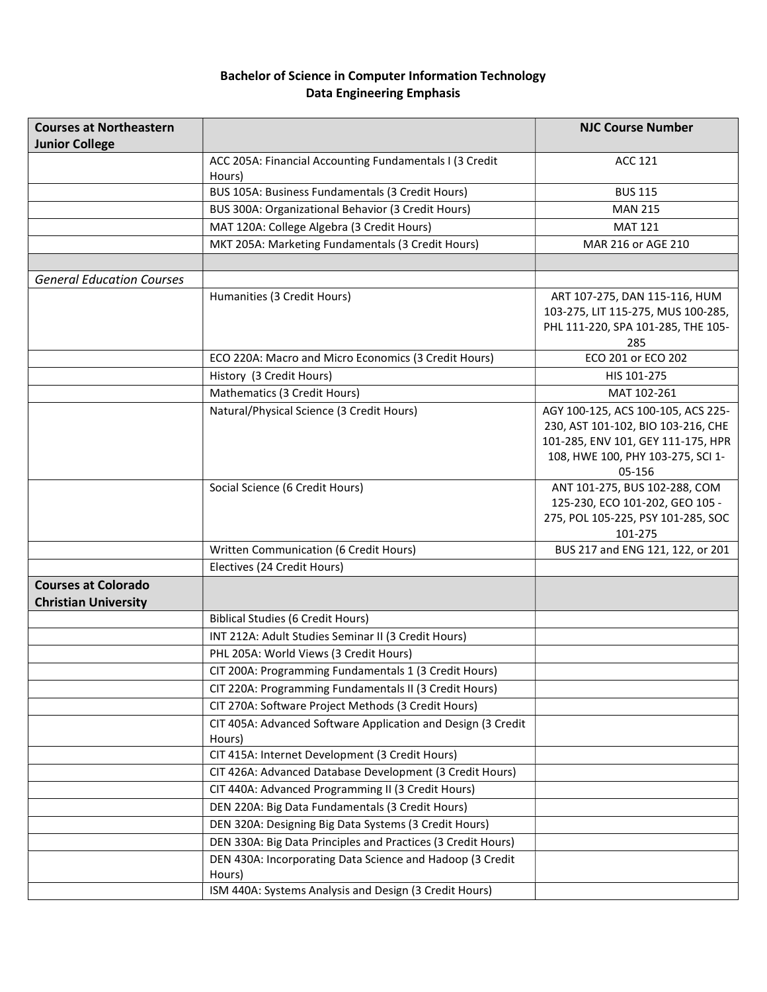## Bachelor of Science in Computer Information Technology Data Engineering Emphasis

| <b>Courses at Northeastern</b>                            |                                                                        | <b>NJC Course Number</b>                                                                                                                                      |
|-----------------------------------------------------------|------------------------------------------------------------------------|---------------------------------------------------------------------------------------------------------------------------------------------------------------|
| <b>Junior College</b>                                     |                                                                        |                                                                                                                                                               |
|                                                           | ACC 205A: Financial Accounting Fundamentals I (3 Credit<br>Hours)      | <b>ACC 121</b>                                                                                                                                                |
|                                                           | BUS 105A: Business Fundamentals (3 Credit Hours)                       | <b>BUS 115</b>                                                                                                                                                |
|                                                           | BUS 300A: Organizational Behavior (3 Credit Hours)                     | <b>MAN 215</b>                                                                                                                                                |
|                                                           | MAT 120A: College Algebra (3 Credit Hours)                             | <b>MAT 121</b>                                                                                                                                                |
|                                                           | MKT 205A: Marketing Fundamentals (3 Credit Hours)                      | MAR 216 or AGE 210                                                                                                                                            |
|                                                           |                                                                        |                                                                                                                                                               |
| <b>General Education Courses</b>                          |                                                                        |                                                                                                                                                               |
|                                                           | Humanities (3 Credit Hours)                                            | ART 107-275, DAN 115-116, HUM<br>103-275, LIT 115-275, MUS 100-285,<br>PHL 111-220, SPA 101-285, THE 105-<br>285                                              |
|                                                           | ECO 220A: Macro and Micro Economics (3 Credit Hours)                   | ECO 201 or ECO 202                                                                                                                                            |
|                                                           | History (3 Credit Hours)                                               | HIS 101-275                                                                                                                                                   |
|                                                           | Mathematics (3 Credit Hours)                                           | MAT 102-261                                                                                                                                                   |
|                                                           | Natural/Physical Science (3 Credit Hours)                              | AGY 100-125, ACS 100-105, ACS 225-<br>230, AST 101-102, BIO 103-216, CHE<br>101-285, ENV 101, GEY 111-175, HPR<br>108, HWE 100, PHY 103-275, SCI 1-<br>05-156 |
|                                                           | Social Science (6 Credit Hours)                                        | ANT 101-275, BUS 102-288, COM<br>125-230, ECO 101-202, GEO 105 -<br>275, POL 105-225, PSY 101-285, SOC<br>101-275                                             |
|                                                           | Written Communication (6 Credit Hours)                                 | BUS 217 and ENG 121, 122, or 201                                                                                                                              |
|                                                           | Electives (24 Credit Hours)                                            |                                                                                                                                                               |
| <b>Courses at Colorado</b><br><b>Christian University</b> |                                                                        |                                                                                                                                                               |
|                                                           | <b>Biblical Studies (6 Credit Hours)</b>                               |                                                                                                                                                               |
|                                                           | INT 212A: Adult Studies Seminar II (3 Credit Hours)                    |                                                                                                                                                               |
|                                                           | PHL 205A: World Views (3 Credit Hours)                                 |                                                                                                                                                               |
|                                                           | CIT 200A: Programming Fundamentals 1 (3 Credit Hours)                  |                                                                                                                                                               |
|                                                           | CIT 220A: Programming Fundamentals II (3 Credit Hours)                 |                                                                                                                                                               |
|                                                           | CIT 270A: Software Project Methods (3 Credit Hours)                    |                                                                                                                                                               |
|                                                           | CIT 405A: Advanced Software Application and Design (3 Credit<br>Hours) |                                                                                                                                                               |
|                                                           | CIT 415A: Internet Development (3 Credit Hours)                        |                                                                                                                                                               |
|                                                           | CIT 426A: Advanced Database Development (3 Credit Hours)               |                                                                                                                                                               |
|                                                           | CIT 440A: Advanced Programming II (3 Credit Hours)                     |                                                                                                                                                               |
|                                                           | DEN 220A: Big Data Fundamentals (3 Credit Hours)                       |                                                                                                                                                               |
|                                                           | DEN 320A: Designing Big Data Systems (3 Credit Hours)                  |                                                                                                                                                               |
|                                                           | DEN 330A: Big Data Principles and Practices (3 Credit Hours)           |                                                                                                                                                               |
|                                                           | DEN 430A: Incorporating Data Science and Hadoop (3 Credit              |                                                                                                                                                               |
|                                                           | Hours)                                                                 |                                                                                                                                                               |
|                                                           | ISM 440A: Systems Analysis and Design (3 Credit Hours)                 |                                                                                                                                                               |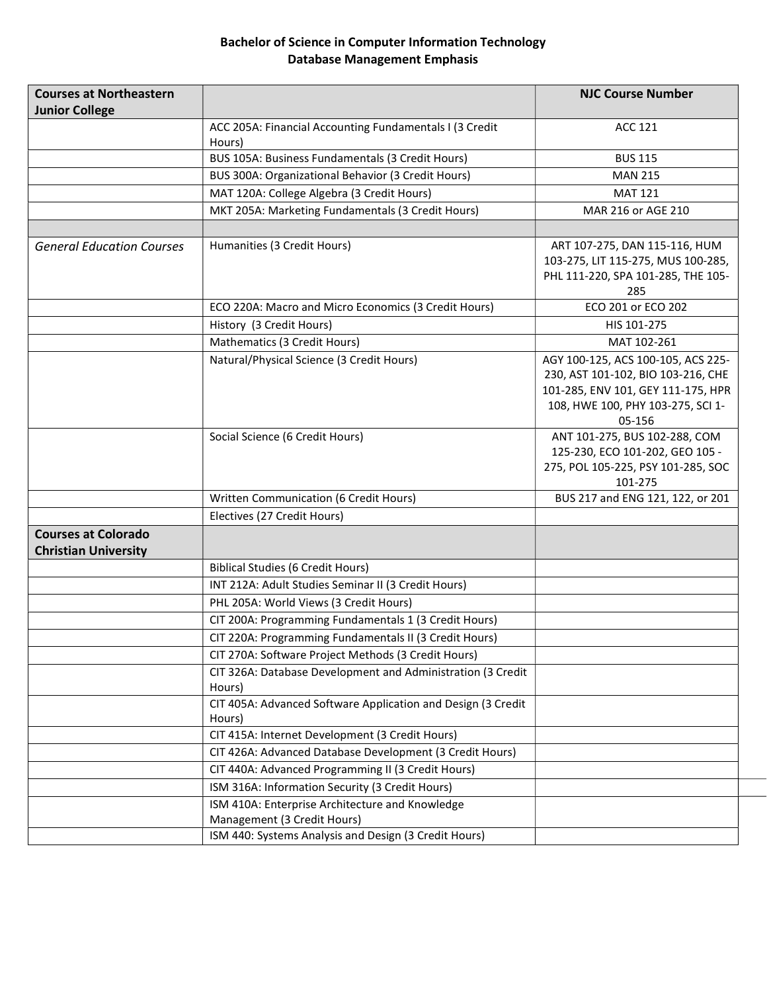## Bachelor of Science in Computer Information Technology Database Management Emphasis

| <b>Courses at Northeastern</b><br><b>Junior College</b>   |                                                                                                             | <b>NJC Course Number</b>                                                                                                                                      |
|-----------------------------------------------------------|-------------------------------------------------------------------------------------------------------------|---------------------------------------------------------------------------------------------------------------------------------------------------------------|
|                                                           | ACC 205A: Financial Accounting Fundamentals I (3 Credit<br>Hours)                                           | <b>ACC 121</b>                                                                                                                                                |
|                                                           | BUS 105A: Business Fundamentals (3 Credit Hours)                                                            | <b>BUS 115</b>                                                                                                                                                |
|                                                           | BUS 300A: Organizational Behavior (3 Credit Hours)                                                          | <b>MAN 215</b>                                                                                                                                                |
|                                                           | MAT 120A: College Algebra (3 Credit Hours)                                                                  | <b>MAT 121</b>                                                                                                                                                |
|                                                           | MKT 205A: Marketing Fundamentals (3 Credit Hours)                                                           | MAR 216 or AGE 210                                                                                                                                            |
|                                                           |                                                                                                             |                                                                                                                                                               |
| <b>General Education Courses</b>                          | Humanities (3 Credit Hours)                                                                                 | ART 107-275, DAN 115-116, HUM<br>103-275, LIT 115-275, MUS 100-285,<br>PHL 111-220, SPA 101-285, THE 105-<br>285                                              |
|                                                           | ECO 220A: Macro and Micro Economics (3 Credit Hours)                                                        | ECO 201 or ECO 202                                                                                                                                            |
|                                                           | History (3 Credit Hours)                                                                                    | HIS 101-275                                                                                                                                                   |
|                                                           | Mathematics (3 Credit Hours)                                                                                | MAT 102-261                                                                                                                                                   |
|                                                           | Natural/Physical Science (3 Credit Hours)                                                                   | AGY 100-125, ACS 100-105, ACS 225-<br>230, AST 101-102, BIO 103-216, CHE<br>101-285, ENV 101, GEY 111-175, HPR<br>108, HWE 100, PHY 103-275, SCI 1-<br>05-156 |
|                                                           | Social Science (6 Credit Hours)                                                                             | ANT 101-275, BUS 102-288, COM<br>125-230, ECO 101-202, GEO 105 -<br>275, POL 105-225, PSY 101-285, SOC<br>101-275                                             |
|                                                           | Written Communication (6 Credit Hours)                                                                      | BUS 217 and ENG 121, 122, or 201                                                                                                                              |
|                                                           | Electives (27 Credit Hours)                                                                                 |                                                                                                                                                               |
| <b>Courses at Colorado</b><br><b>Christian University</b> |                                                                                                             |                                                                                                                                                               |
|                                                           | <b>Biblical Studies (6 Credit Hours)</b>                                                                    |                                                                                                                                                               |
|                                                           | INT 212A: Adult Studies Seminar II (3 Credit Hours)                                                         |                                                                                                                                                               |
|                                                           | PHL 205A: World Views (3 Credit Hours)                                                                      |                                                                                                                                                               |
|                                                           | CIT 200A: Programming Fundamentals 1 (3 Credit Hours)                                                       |                                                                                                                                                               |
|                                                           | CIT 220A: Programming Fundamentals II (3 Credit Hours)                                                      |                                                                                                                                                               |
|                                                           | CIT 270A: Software Project Methods (3 Credit Hours)                                                         |                                                                                                                                                               |
|                                                           | CIT 326A: Database Development and Administration (3 Credit<br>Hours)                                       |                                                                                                                                                               |
|                                                           | CIT 405A: Advanced Software Application and Design (3 Credit<br>Hours)                                      |                                                                                                                                                               |
|                                                           | CIT 415A: Internet Development (3 Credit Hours)<br>CIT 426A: Advanced Database Development (3 Credit Hours) |                                                                                                                                                               |
|                                                           | CIT 440A: Advanced Programming II (3 Credit Hours)                                                          |                                                                                                                                                               |
|                                                           | ISM 316A: Information Security (3 Credit Hours)                                                             |                                                                                                                                                               |
|                                                           | ISM 410A: Enterprise Architecture and Knowledge<br>Management (3 Credit Hours)                              |                                                                                                                                                               |
|                                                           | ISM 440: Systems Analysis and Design (3 Credit Hours)                                                       |                                                                                                                                                               |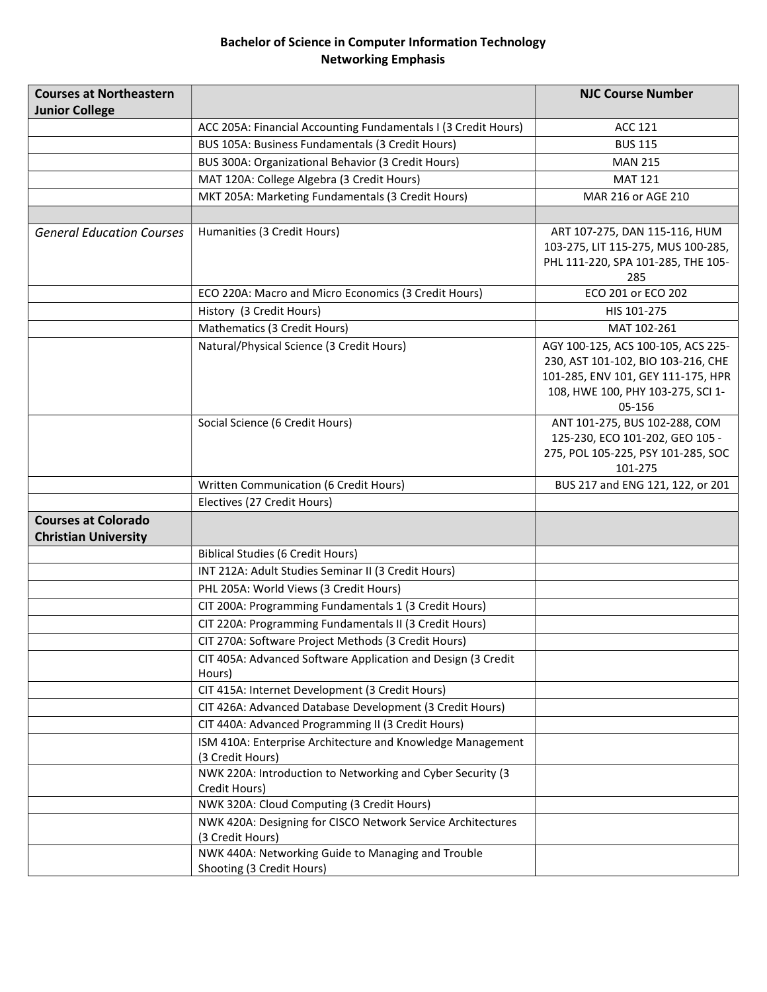## Bachelor of Science in Computer Information Technology Networking Emphasis

| <b>Courses at Northeastern</b><br><b>Junior College</b>   |                                                                                 | <b>NJC Course Number</b>                                                                                                                                      |
|-----------------------------------------------------------|---------------------------------------------------------------------------------|---------------------------------------------------------------------------------------------------------------------------------------------------------------|
|                                                           | ACC 205A: Financial Accounting Fundamentals I (3 Credit Hours)                  | <b>ACC 121</b>                                                                                                                                                |
|                                                           | BUS 105A: Business Fundamentals (3 Credit Hours)                                | <b>BUS 115</b>                                                                                                                                                |
|                                                           | BUS 300A: Organizational Behavior (3 Credit Hours)                              | <b>MAN 215</b>                                                                                                                                                |
|                                                           | MAT 120A: College Algebra (3 Credit Hours)                                      | <b>MAT 121</b>                                                                                                                                                |
|                                                           | MKT 205A: Marketing Fundamentals (3 Credit Hours)                               | MAR 216 or AGE 210                                                                                                                                            |
|                                                           |                                                                                 |                                                                                                                                                               |
| <b>General Education Courses</b>                          | Humanities (3 Credit Hours)                                                     | ART 107-275, DAN 115-116, HUM<br>103-275, LIT 115-275, MUS 100-285,<br>PHL 111-220, SPA 101-285, THE 105-<br>285                                              |
|                                                           | ECO 220A: Macro and Micro Economics (3 Credit Hours)                            | ECO 201 or ECO 202                                                                                                                                            |
|                                                           | History (3 Credit Hours)                                                        | HIS 101-275                                                                                                                                                   |
|                                                           | Mathematics (3 Credit Hours)                                                    | MAT 102-261                                                                                                                                                   |
|                                                           | Natural/Physical Science (3 Credit Hours)                                       | AGY 100-125, ACS 100-105, ACS 225-<br>230, AST 101-102, BIO 103-216, CHE<br>101-285, ENV 101, GEY 111-175, HPR<br>108, HWE 100, PHY 103-275, SCI 1-<br>05-156 |
|                                                           | Social Science (6 Credit Hours)                                                 | ANT 101-275, BUS 102-288, COM<br>125-230, ECO 101-202, GEO 105 -<br>275, POL 105-225, PSY 101-285, SOC<br>101-275                                             |
|                                                           | Written Communication (6 Credit Hours)                                          | BUS 217 and ENG 121, 122, or 201                                                                                                                              |
|                                                           | Electives (27 Credit Hours)                                                     |                                                                                                                                                               |
| <b>Courses at Colorado</b><br><b>Christian University</b> |                                                                                 |                                                                                                                                                               |
|                                                           | <b>Biblical Studies (6 Credit Hours)</b>                                        |                                                                                                                                                               |
|                                                           | INT 212A: Adult Studies Seminar II (3 Credit Hours)                             |                                                                                                                                                               |
|                                                           | PHL 205A: World Views (3 Credit Hours)                                          |                                                                                                                                                               |
|                                                           | CIT 200A: Programming Fundamentals 1 (3 Credit Hours)                           |                                                                                                                                                               |
|                                                           | CIT 220A: Programming Fundamentals II (3 Credit Hours)                          |                                                                                                                                                               |
|                                                           | CIT 270A: Software Project Methods (3 Credit Hours)                             |                                                                                                                                                               |
|                                                           | CIT 405A: Advanced Software Application and Design (3 Credit<br>Hours)          |                                                                                                                                                               |
|                                                           | CIT 415A: Internet Development (3 Credit Hours)                                 |                                                                                                                                                               |
|                                                           | CIT 426A: Advanced Database Development (3 Credit Hours)                        |                                                                                                                                                               |
|                                                           | CIT 440A: Advanced Programming II (3 Credit Hours)                              |                                                                                                                                                               |
|                                                           | ISM 410A: Enterprise Architecture and Knowledge Management                      |                                                                                                                                                               |
|                                                           | (3 Credit Hours)                                                                |                                                                                                                                                               |
|                                                           | NWK 220A: Introduction to Networking and Cyber Security (3                      |                                                                                                                                                               |
|                                                           | Credit Hours)                                                                   |                                                                                                                                                               |
|                                                           | NWK 320A: Cloud Computing (3 Credit Hours)                                      |                                                                                                                                                               |
|                                                           | NWK 420A: Designing for CISCO Network Service Architectures<br>(3 Credit Hours) |                                                                                                                                                               |
|                                                           | NWK 440A: Networking Guide to Managing and Trouble                              |                                                                                                                                                               |
|                                                           | Shooting (3 Credit Hours)                                                       |                                                                                                                                                               |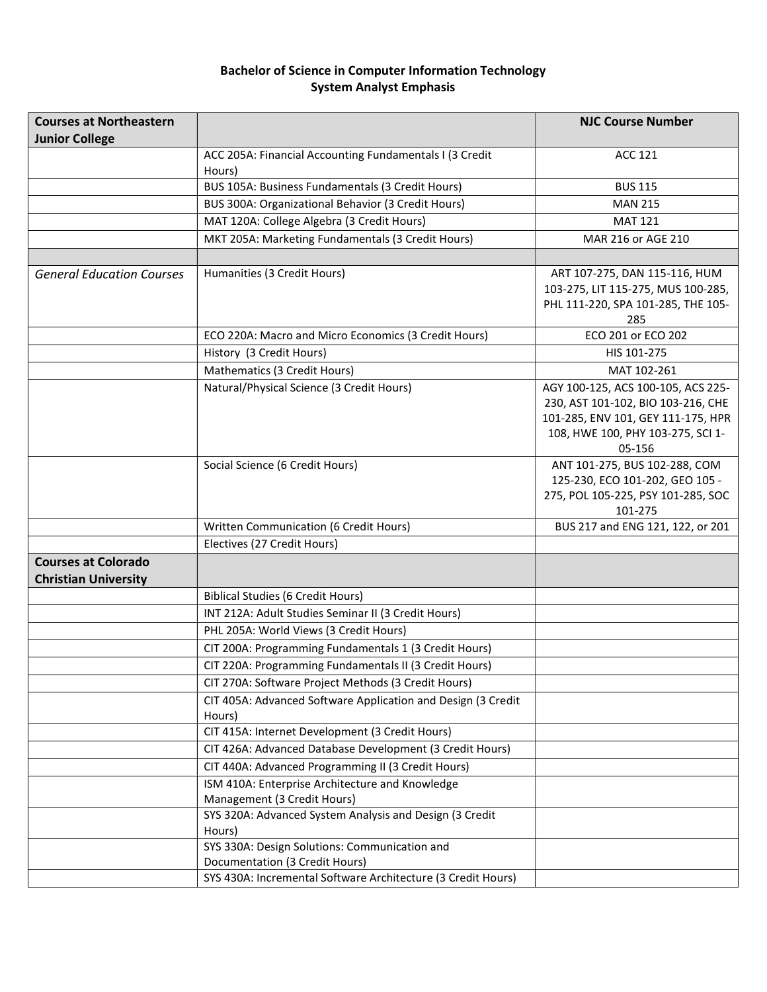## Bachelor of Science in Computer Information Technology System Analyst Emphasis

| <b>Courses at Northeastern</b>                            |                                                                        | <b>NJC Course Number</b>                                                                                                                                      |
|-----------------------------------------------------------|------------------------------------------------------------------------|---------------------------------------------------------------------------------------------------------------------------------------------------------------|
| <b>Junior College</b>                                     |                                                                        |                                                                                                                                                               |
|                                                           | ACC 205A: Financial Accounting Fundamentals I (3 Credit<br>Hours)      | <b>ACC 121</b>                                                                                                                                                |
|                                                           | BUS 105A: Business Fundamentals (3 Credit Hours)                       | <b>BUS 115</b>                                                                                                                                                |
|                                                           | BUS 300A: Organizational Behavior (3 Credit Hours)                     | <b>MAN 215</b>                                                                                                                                                |
|                                                           | MAT 120A: College Algebra (3 Credit Hours)                             | <b>MAT 121</b>                                                                                                                                                |
|                                                           | MKT 205A: Marketing Fundamentals (3 Credit Hours)                      | MAR 216 or AGE 210                                                                                                                                            |
|                                                           |                                                                        |                                                                                                                                                               |
| <b>General Education Courses</b>                          | Humanities (3 Credit Hours)                                            | ART 107-275, DAN 115-116, HUM<br>103-275, LIT 115-275, MUS 100-285,<br>PHL 111-220, SPA 101-285, THE 105-<br>285                                              |
|                                                           | ECO 220A: Macro and Micro Economics (3 Credit Hours)                   | ECO 201 or ECO 202                                                                                                                                            |
|                                                           | History (3 Credit Hours)                                               | HIS 101-275                                                                                                                                                   |
|                                                           | Mathematics (3 Credit Hours)                                           | MAT 102-261                                                                                                                                                   |
|                                                           | Natural/Physical Science (3 Credit Hours)                              | AGY 100-125, ACS 100-105, ACS 225-<br>230, AST 101-102, BIO 103-216, CHE<br>101-285, ENV 101, GEY 111-175, HPR<br>108, HWE 100, PHY 103-275, SCI 1-<br>05-156 |
|                                                           | Social Science (6 Credit Hours)                                        | ANT 101-275, BUS 102-288, COM<br>125-230, ECO 101-202, GEO 105 -<br>275, POL 105-225, PSY 101-285, SOC<br>101-275                                             |
|                                                           | Written Communication (6 Credit Hours)                                 | BUS 217 and ENG 121, 122, or 201                                                                                                                              |
|                                                           | Electives (27 Credit Hours)                                            |                                                                                                                                                               |
| <b>Courses at Colorado</b><br><b>Christian University</b> |                                                                        |                                                                                                                                                               |
|                                                           | <b>Biblical Studies (6 Credit Hours)</b>                               |                                                                                                                                                               |
|                                                           | INT 212A: Adult Studies Seminar II (3 Credit Hours)                    |                                                                                                                                                               |
|                                                           | PHL 205A: World Views (3 Credit Hours)                                 |                                                                                                                                                               |
|                                                           | CIT 200A: Programming Fundamentals 1 (3 Credit Hours)                  |                                                                                                                                                               |
|                                                           | CIT 220A: Programming Fundamentals II (3 Credit Hours)                 |                                                                                                                                                               |
|                                                           | CIT 270A: Software Project Methods (3 Credit Hours)                    |                                                                                                                                                               |
|                                                           | CIT 405A: Advanced Software Application and Design (3 Credit<br>Hours) |                                                                                                                                                               |
|                                                           | CIT 415A: Internet Development (3 Credit Hours)                        |                                                                                                                                                               |
|                                                           | CIT 426A: Advanced Database Development (3 Credit Hours)               |                                                                                                                                                               |
|                                                           | CIT 440A: Advanced Programming II (3 Credit Hours)                     |                                                                                                                                                               |
|                                                           | ISM 410A: Enterprise Architecture and Knowledge                        |                                                                                                                                                               |
|                                                           | Management (3 Credit Hours)                                            |                                                                                                                                                               |
|                                                           | SYS 320A: Advanced System Analysis and Design (3 Credit                |                                                                                                                                                               |
|                                                           | Hours)                                                                 |                                                                                                                                                               |
|                                                           | SYS 330A: Design Solutions: Communication and                          |                                                                                                                                                               |
|                                                           | Documentation (3 Credit Hours)                                         |                                                                                                                                                               |
|                                                           | SYS 430A: Incremental Software Architecture (3 Credit Hours)           |                                                                                                                                                               |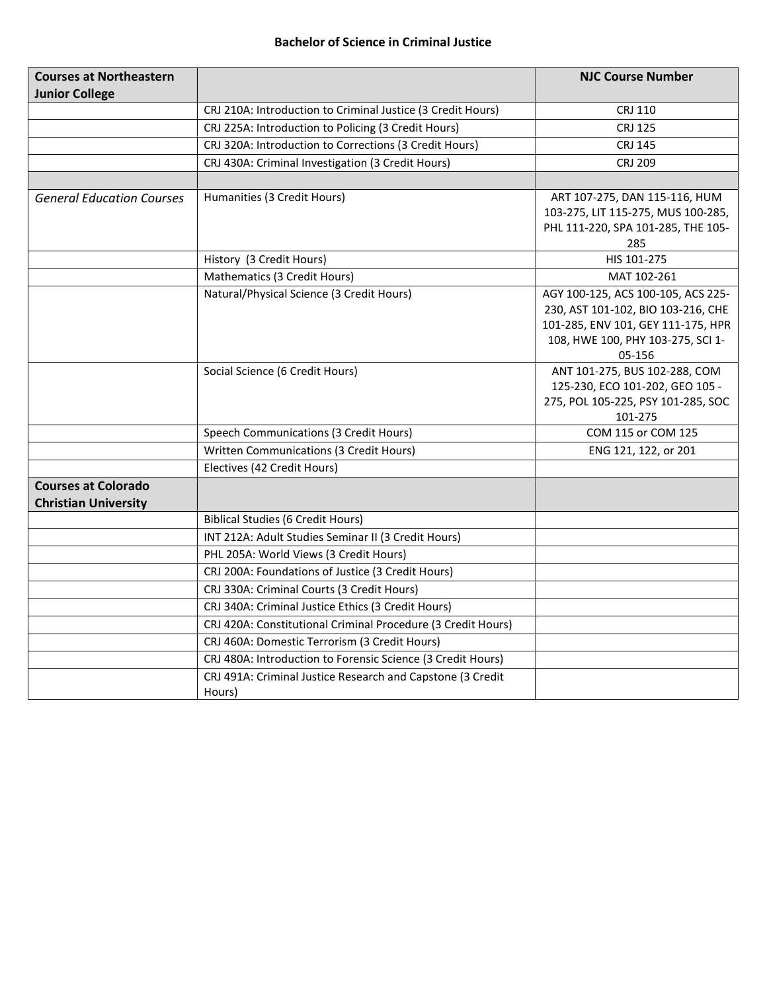#### Bachelor of Science in Criminal Justice

| <b>Courses at Northeastern</b>   |                                                                      | <b>NJC Course Number</b>                                                 |
|----------------------------------|----------------------------------------------------------------------|--------------------------------------------------------------------------|
| <b>Junior College</b>            |                                                                      |                                                                          |
|                                  | CRJ 210A: Introduction to Criminal Justice (3 Credit Hours)          | <b>CRJ 110</b>                                                           |
|                                  | CRJ 225A: Introduction to Policing (3 Credit Hours)                  | <b>CRJ 125</b>                                                           |
|                                  | CRJ 320A: Introduction to Corrections (3 Credit Hours)               | <b>CRJ 145</b>                                                           |
|                                  | CRJ 430A: Criminal Investigation (3 Credit Hours)                    | <b>CRJ 209</b>                                                           |
|                                  |                                                                      |                                                                          |
| <b>General Education Courses</b> | Humanities (3 Credit Hours)                                          | ART 107-275, DAN 115-116, HUM                                            |
|                                  |                                                                      | 103-275, LIT 115-275, MUS 100-285,                                       |
|                                  |                                                                      | PHL 111-220, SPA 101-285, THE 105-                                       |
|                                  |                                                                      | 285                                                                      |
|                                  | History (3 Credit Hours)                                             | HIS 101-275                                                              |
|                                  | Mathematics (3 Credit Hours)                                         | MAT 102-261                                                              |
|                                  | Natural/Physical Science (3 Credit Hours)                            | AGY 100-125, ACS 100-105, ACS 225-<br>230, AST 101-102, BIO 103-216, CHE |
|                                  |                                                                      | 101-285, ENV 101, GEY 111-175, HPR                                       |
|                                  |                                                                      | 108, HWE 100, PHY 103-275, SCI 1-                                        |
|                                  |                                                                      | 05-156                                                                   |
|                                  | Social Science (6 Credit Hours)                                      | ANT 101-275, BUS 102-288, COM                                            |
|                                  |                                                                      | 125-230, ECO 101-202, GEO 105 -                                          |
|                                  |                                                                      | 275, POL 105-225, PSY 101-285, SOC                                       |
|                                  |                                                                      | 101-275                                                                  |
|                                  | Speech Communications (3 Credit Hours)                               | COM 115 or COM 125                                                       |
|                                  | Written Communications (3 Credit Hours)                              | ENG 121, 122, or 201                                                     |
|                                  | Electives (42 Credit Hours)                                          |                                                                          |
| <b>Courses at Colorado</b>       |                                                                      |                                                                          |
| <b>Christian University</b>      |                                                                      |                                                                          |
|                                  | <b>Biblical Studies (6 Credit Hours)</b>                             |                                                                          |
|                                  | INT 212A: Adult Studies Seminar II (3 Credit Hours)                  |                                                                          |
|                                  | PHL 205A: World Views (3 Credit Hours)                               |                                                                          |
|                                  | CRJ 200A: Foundations of Justice (3 Credit Hours)                    |                                                                          |
|                                  | CRJ 330A: Criminal Courts (3 Credit Hours)                           |                                                                          |
|                                  | CRJ 340A: Criminal Justice Ethics (3 Credit Hours)                   |                                                                          |
|                                  | CRJ 420A: Constitutional Criminal Procedure (3 Credit Hours)         |                                                                          |
|                                  | CRJ 460A: Domestic Terrorism (3 Credit Hours)                        |                                                                          |
|                                  | CRJ 480A: Introduction to Forensic Science (3 Credit Hours)          |                                                                          |
|                                  | CRJ 491A: Criminal Justice Research and Capstone (3 Credit<br>Hours) |                                                                          |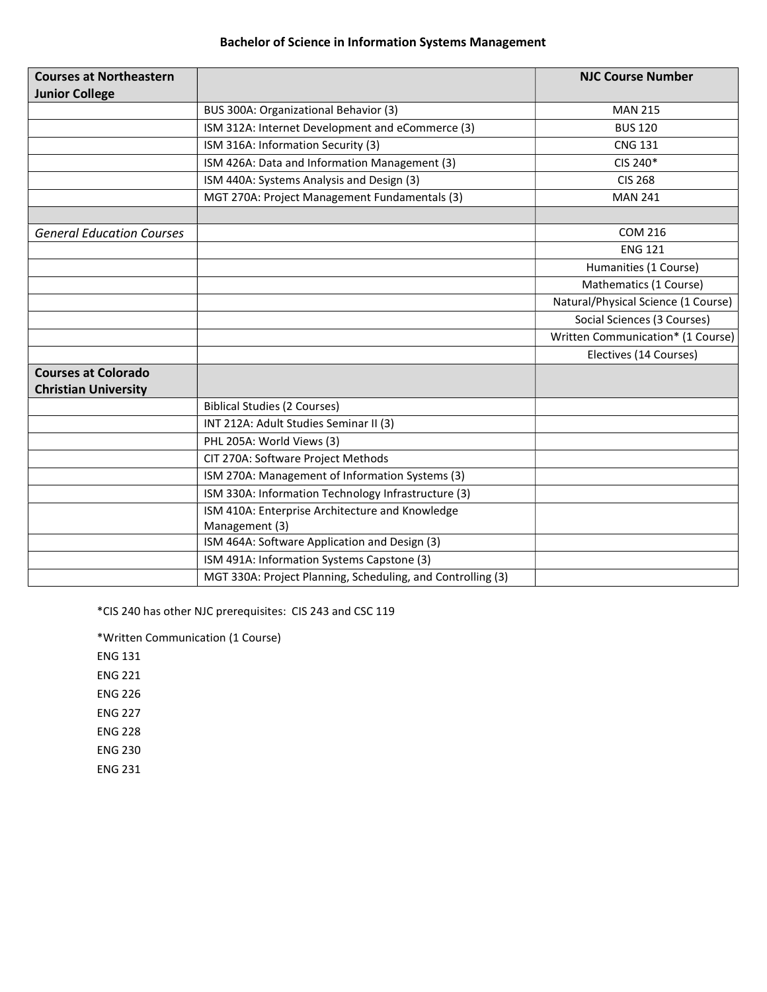# Bachelor of Science in Information Systems Management

| <b>Courses at Northeastern</b>   |                                                             | <b>NJC Course Number</b>            |
|----------------------------------|-------------------------------------------------------------|-------------------------------------|
| <b>Junior College</b>            |                                                             |                                     |
|                                  | BUS 300A: Organizational Behavior (3)                       | <b>MAN 215</b>                      |
|                                  | ISM 312A: Internet Development and eCommerce (3)            | <b>BUS 120</b>                      |
|                                  | ISM 316A: Information Security (3)                          | <b>CNG 131</b>                      |
|                                  | ISM 426A: Data and Information Management (3)               | CIS 240*                            |
|                                  | ISM 440A: Systems Analysis and Design (3)                   | <b>CIS 268</b>                      |
|                                  | MGT 270A: Project Management Fundamentals (3)               | <b>MAN 241</b>                      |
|                                  |                                                             |                                     |
| <b>General Education Courses</b> |                                                             | <b>COM 216</b>                      |
|                                  |                                                             | <b>ENG 121</b>                      |
|                                  |                                                             | Humanities (1 Course)               |
|                                  |                                                             | Mathematics (1 Course)              |
|                                  |                                                             | Natural/Physical Science (1 Course) |
|                                  |                                                             | Social Sciences (3 Courses)         |
|                                  |                                                             | Written Communication* (1 Course)   |
|                                  |                                                             | Electives (14 Courses)              |
| <b>Courses at Colorado</b>       |                                                             |                                     |
| <b>Christian University</b>      |                                                             |                                     |
|                                  | <b>Biblical Studies (2 Courses)</b>                         |                                     |
|                                  | INT 212A: Adult Studies Seminar II (3)                      |                                     |
|                                  | PHL 205A: World Views (3)                                   |                                     |
|                                  | CIT 270A: Software Project Methods                          |                                     |
|                                  | ISM 270A: Management of Information Systems (3)             |                                     |
|                                  | ISM 330A: Information Technology Infrastructure (3)         |                                     |
|                                  | ISM 410A: Enterprise Architecture and Knowledge             |                                     |
|                                  | Management (3)                                              |                                     |
|                                  | ISM 464A: Software Application and Design (3)               |                                     |
|                                  | ISM 491A: Information Systems Capstone (3)                  |                                     |
|                                  | MGT 330A: Project Planning, Scheduling, and Controlling (3) |                                     |

\*CIS 240 has other NJC prerequisites: CIS 243 and CSC 119

\*Written Communication (1 Course)

ENG 131

ENG 221

ENG 226

ENG 227

ENG 228

ENG 230

ENG 231